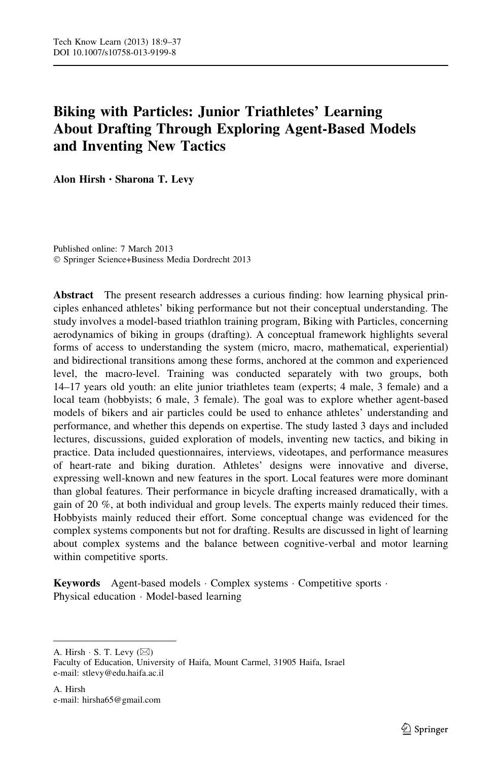# Biking with Particles: Junior Triathletes' Learning About Drafting Through Exploring Agent-Based Models and Inventing New Tactics

Alon Hirsh • Sharona T. Levy

Published online: 7 March 2013 - Springer Science+Business Media Dordrecht 2013

Abstract The present research addresses a curious finding: how learning physical principles enhanced athletes' biking performance but not their conceptual understanding. The study involves a model-based triathlon training program, Biking with Particles, concerning aerodynamics of biking in groups (drafting). A conceptual framework highlights several forms of access to understanding the system (micro, macro, mathematical, experiential) and bidirectional transitions among these forms, anchored at the common and experienced level, the macro-level. Training was conducted separately with two groups, both 14–17 years old youth: an elite junior triathletes team (experts; 4 male, 3 female) and a local team (hobbyists; 6 male, 3 female). The goal was to explore whether agent-based models of bikers and air particles could be used to enhance athletes' understanding and performance, and whether this depends on expertise. The study lasted 3 days and included lectures, discussions, guided exploration of models, inventing new tactics, and biking in practice. Data included questionnaires, interviews, videotapes, and performance measures of heart-rate and biking duration. Athletes' designs were innovative and diverse, expressing well-known and new features in the sport. Local features were more dominant than global features. Their performance in bicycle drafting increased dramatically, with a gain of 20 %, at both individual and group levels. The experts mainly reduced their times. Hobbyists mainly reduced their effort. Some conceptual change was evidenced for the complex systems components but not for drafting. Results are discussed in light of learning about complex systems and the balance between cognitive-verbal and motor learning within competitive sports.

Keywords Agent-based models · Complex systems · Competitive sports · Physical education - Model-based learning

A. Hirsh  $\cdot$  S. T. Levy ( $\boxtimes$ ) Faculty of Education, University of Haifa, Mount Carmel, 31905 Haifa, Israel e-mail: stlevy@edu.haifa.ac.il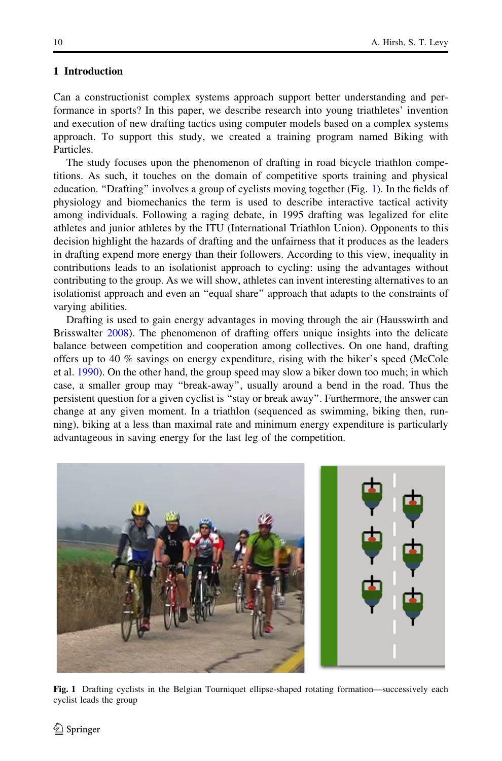## <span id="page-1-0"></span>1 Introduction

Can a constructionist complex systems approach support better understanding and performance in sports? In this paper, we describe research into young triathletes' invention and execution of new drafting tactics using computer models based on a complex systems approach. To support this study, we created a training program named Biking with Particles.

The study focuses upon the phenomenon of drafting in road bicycle triathlon competitions. As such, it touches on the domain of competitive sports training and physical education. ''Drafting'' involves a group of cyclists moving together (Fig. 1). In the fields of physiology and biomechanics the term is used to describe interactive tactical activity among individuals. Following a raging debate, in 1995 drafting was legalized for elite athletes and junior athletes by the ITU (International Triathlon Union). Opponents to this decision highlight the hazards of drafting and the unfairness that it produces as the leaders in drafting expend more energy than their followers. According to this view, inequality in contributions leads to an isolationist approach to cycling: using the advantages without contributing to the group. As we will show, athletes can invent interesting alternatives to an isolationist approach and even an ''equal share'' approach that adapts to the constraints of varying abilities.

Drafting is used to gain energy advantages in moving through the air (Hausswirth and Brisswalter [2008\)](#page-27-0). The phenomenon of drafting offers unique insights into the delicate balance between competition and cooperation among collectives. On one hand, drafting offers up to 40 % savings on energy expenditure, rising with the biker's speed (McCole et al. [1990](#page-27-0)). On the other hand, the group speed may slow a biker down too much; in which case, a smaller group may ''break-away'', usually around a bend in the road. Thus the persistent question for a given cyclist is ''stay or break away''. Furthermore, the answer can change at any given moment. In a triathlon (sequenced as swimming, biking then, running), biking at a less than maximal rate and minimum energy expenditure is particularly advantageous in saving energy for the last leg of the competition.



Fig. 1 Drafting cyclists in the Belgian Tourniquet ellipse-shaped rotating formation—successively each cyclist leads the group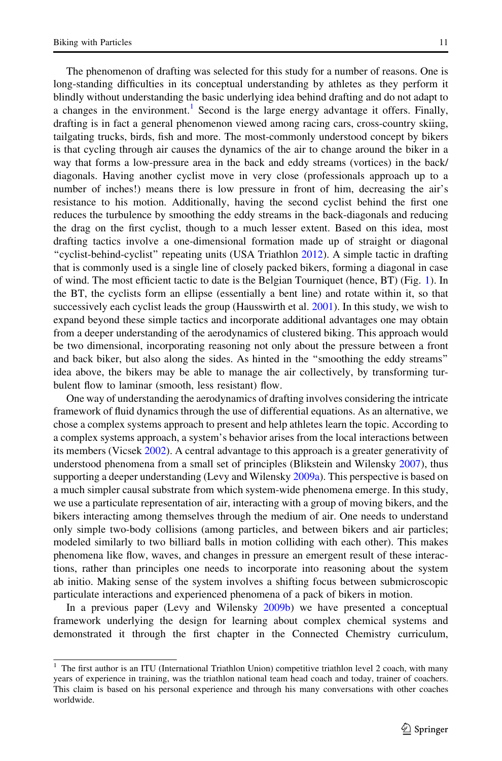The phenomenon of drafting was selected for this study for a number of reasons. One is long-standing difficulties in its conceptual understanding by athletes as they perform it blindly without understanding the basic underlying idea behind drafting and do not adapt to a changes in the environment.<sup>1</sup> Second is the large energy advantage it offers. Finally, drafting is in fact a general phenomenon viewed among racing cars, cross-country skiing, tailgating trucks, birds, fish and more. The most-commonly understood concept by bikers is that cycling through air causes the dynamics of the air to change around the biker in a way that forms a low-pressure area in the back and eddy streams (vortices) in the back/ diagonals. Having another cyclist move in very close (professionals approach up to a number of inches!) means there is low pressure in front of him, decreasing the air's resistance to his motion. Additionally, having the second cyclist behind the first one reduces the turbulence by smoothing the eddy streams in the back-diagonals and reducing the drag on the first cyclist, though to a much lesser extent. Based on this idea, most drafting tactics involve a one-dimensional formation made up of straight or diagonal ''cyclist-behind-cyclist'' repeating units (USA Triathlon [2012\)](#page-27-0). A simple tactic in drafting that is commonly used is a single line of closely packed bikers, forming a diagonal in case of wind. The most efficient tactic to date is the Belgian Tourniquet (hence, BT) (Fig. [1\)](#page-1-0). In the BT, the cyclists form an ellipse (essentially a bent line) and rotate within it, so that successively each cyclist leads the group (Hausswirth et al. [2001](#page-27-0)). In this study, we wish to expand beyond these simple tactics and incorporate additional advantages one may obtain from a deeper understanding of the aerodynamics of clustered biking. This approach would be two dimensional, incorporating reasoning not only about the pressure between a front and back biker, but also along the sides. As hinted in the ''smoothing the eddy streams'' idea above, the bikers may be able to manage the air collectively, by transforming turbulent flow to laminar (smooth, less resistant) flow.

One way of understanding the aerodynamics of drafting involves considering the intricate framework of fluid dynamics through the use of differential equations. As an alternative, we chose a complex systems approach to present and help athletes learn the topic. According to a complex systems approach, a system's behavior arises from the local interactions between its members (Vicsek [2002\)](#page-27-0). A central advantage to this approach is a greater generativity of understood phenomena from a small set of principles (Blikstein and Wilensky [2007\)](#page-27-0), thus supporting a deeper understanding (Levy and Wilensky [2009a\)](#page-27-0). This perspective is based on a much simpler causal substrate from which system-wide phenomena emerge. In this study, we use a particulate representation of air, interacting with a group of moving bikers, and the bikers interacting among themselves through the medium of air. One needs to understand only simple two-body collisions (among particles, and between bikers and air particles; modeled similarly to two billiard balls in motion colliding with each other). This makes phenomena like flow, waves, and changes in pressure an emergent result of these interactions, rather than principles one needs to incorporate into reasoning about the system ab initio. Making sense of the system involves a shifting focus between submicroscopic particulate interactions and experienced phenomena of a pack of bikers in motion.

In a previous paper (Levy and Wilensky [2009b](#page-27-0)) we have presented a conceptual framework underlying the design for learning about complex chemical systems and demonstrated it through the first chapter in the Connected Chemistry curriculum,

 $1$  The first author is an ITU (International Triathlon Union) competitive triathlon level 2 coach, with many years of experience in training, was the triathlon national team head coach and today, trainer of coachers. This claim is based on his personal experience and through his many conversations with other coaches worldwide.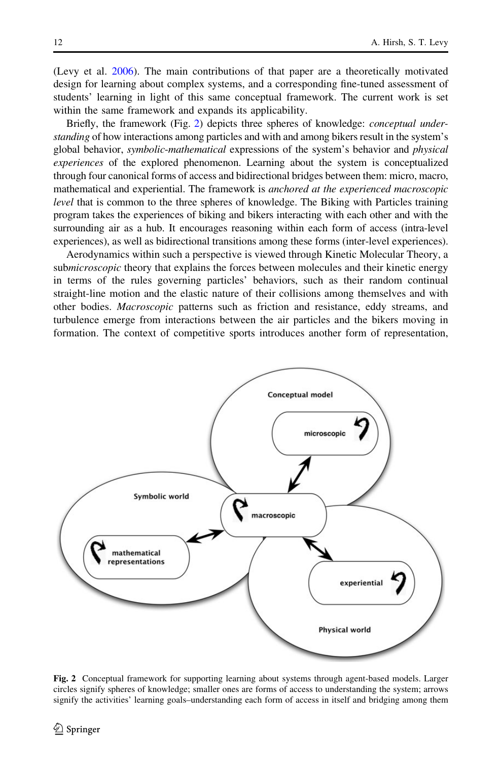<span id="page-3-0"></span>(Levy et al. [2006\)](#page-27-0). The main contributions of that paper are a theoretically motivated design for learning about complex systems, and a corresponding fine-tuned assessment of students' learning in light of this same conceptual framework. The current work is set within the same framework and expands its applicability.

Briefly, the framework (Fig. 2) depicts three spheres of knowledge: conceptual understanding of how interactions among particles and with and among bikers result in the system's global behavior, *symbolic-mathematical* expressions of the system's behavior and *physical* experiences of the explored phenomenon. Learning about the system is conceptualized through four canonical forms of access and bidirectional bridges between them: micro, macro, mathematical and experiential. The framework is *anchored at the experienced macroscopic* level that is common to the three spheres of knowledge. The Biking with Particles training program takes the experiences of biking and bikers interacting with each other and with the surrounding air as a hub. It encourages reasoning within each form of access (intra-level experiences), as well as bidirectional transitions among these forms (inter-level experiences).

Aerodynamics within such a perspective is viewed through Kinetic Molecular Theory, a submicroscopic theory that explains the forces between molecules and their kinetic energy in terms of the rules governing particles' behaviors, such as their random continual straight-line motion and the elastic nature of their collisions among themselves and with other bodies. Macroscopic patterns such as friction and resistance, eddy streams, and turbulence emerge from interactions between the air particles and the bikers moving in formation. The context of competitive sports introduces another form of representation,



Fig. 2 Conceptual framework for supporting learning about systems through agent-based models. Larger circles signify spheres of knowledge; smaller ones are forms of access to understanding the system; arrows signify the activities' learning goals–understanding each form of access in itself and bridging among them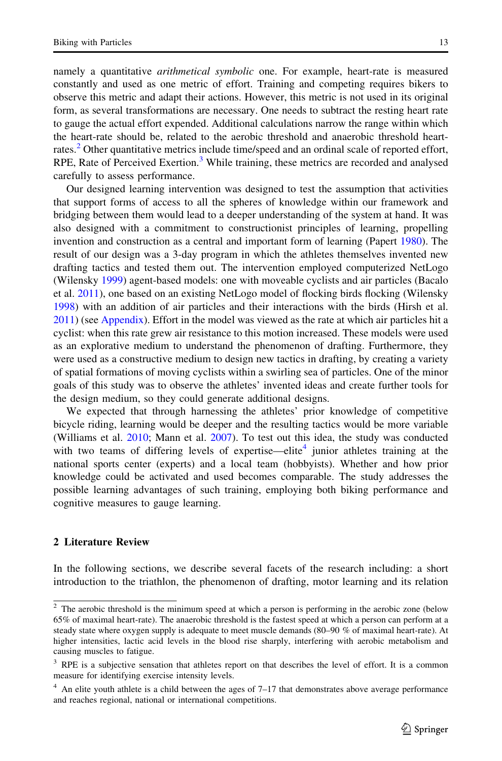namely a quantitative *arithmetical symbolic* one. For example, heart-rate is measured constantly and used as one metric of effort. Training and competing requires bikers to observe this metric and adapt their actions. However, this metric is not used in its original form, as several transformations are necessary. One needs to subtract the resting heart rate to gauge the actual effort expended. Additional calculations narrow the range within which the heart-rate should be, related to the aerobic threshold and anaerobic threshold heartrates.<sup>2</sup> Other quantitative metrics include time/speed and an ordinal scale of reported effort, RPE, Rate of Perceived Exertion.<sup>3</sup> While training, these metrics are recorded and analysed carefully to assess performance.

Our designed learning intervention was designed to test the assumption that activities that support forms of access to all the spheres of knowledge within our framework and bridging between them would lead to a deeper understanding of the system at hand. It was also designed with a commitment to constructionist principles of learning, propelling invention and construction as a central and important form of learning (Papert [1980](#page-27-0)). The result of our design was a 3-day program in which the athletes themselves invented new drafting tactics and tested them out. The intervention employed computerized NetLogo (Wilensky [1999\)](#page-27-0) agent-based models: one with moveable cyclists and air particles (Bacalo et al. [2011\)](#page-26-0), one based on an existing NetLogo model of flocking birds flocking (Wilensky [1998\)](#page-27-0) with an addition of air particles and their interactions with the birds (Hirsh et al. [2011\)](#page-27-0) (see [Appendix\)](#page-24-0). Effort in the model was viewed as the rate at which air particles hit a cyclist: when this rate grew air resistance to this motion increased. These models were used as an explorative medium to understand the phenomenon of drafting. Furthermore, they were used as a constructive medium to design new tactics in drafting, by creating a variety of spatial formations of moving cyclists within a swirling sea of particles. One of the minor goals of this study was to observe the athletes' invented ideas and create further tools for the design medium, so they could generate additional designs.

We expected that through harnessing the athletes' prior knowledge of competitive bicycle riding, learning would be deeper and the resulting tactics would be more variable (Williams et al. [2010;](#page-28-0) Mann et al. [2007](#page-27-0)). To test out this idea, the study was conducted with two teams of differing levels of expertise—elite<sup>4</sup> junior athletes training at the national sports center (experts) and a local team (hobbyists). Whether and how prior knowledge could be activated and used becomes comparable. The study addresses the possible learning advantages of such training, employing both biking performance and cognitive measures to gauge learning.

# 2 Literature Review

In the following sections, we describe several facets of the research including: a short introduction to the triathlon, the phenomenon of drafting, motor learning and its relation

 $2$  The aerobic threshold is the minimum speed at which a person is performing in the aerobic zone (below 65% of maximal heart-rate). The anaerobic threshold is the fastest speed at which a person can perform at a steady state where oxygen supply is adequate to meet muscle demands (80–90 % of maximal heart-rate). At higher intensities, lactic acid levels in the blood rise sharply, interfering with aerobic metabolism and causing muscles to fatigue.

<sup>&</sup>lt;sup>3</sup> RPE is a subjective sensation that athletes report on that describes the level of effort. It is a common measure for identifying exercise intensity levels.

An elite youth athlete is a child between the ages of  $7-17$  that demonstrates above average performance and reaches regional, national or international competitions.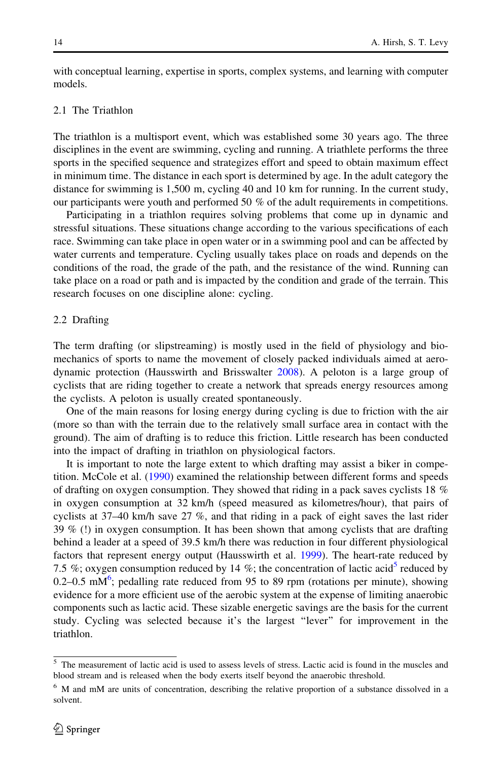with conceptual learning, expertise in sports, complex systems, and learning with computer models.

# 2.1 The Triathlon

The triathlon is a multisport event, which was established some 30 years ago. The three disciplines in the event are swimming, cycling and running. A triathlete performs the three sports in the specified sequence and strategizes effort and speed to obtain maximum effect in minimum time. The distance in each sport is determined by age. In the adult category the distance for swimming is 1,500 m, cycling 40 and 10 km for running. In the current study, our participants were youth and performed 50 % of the adult requirements in competitions.

Participating in a triathlon requires solving problems that come up in dynamic and stressful situations. These situations change according to the various specifications of each race. Swimming can take place in open water or in a swimming pool and can be affected by water currents and temperature. Cycling usually takes place on roads and depends on the conditions of the road, the grade of the path, and the resistance of the wind. Running can take place on a road or path and is impacted by the condition and grade of the terrain. This research focuses on one discipline alone: cycling.

### 2.2 Drafting

The term drafting (or slipstreaming) is mostly used in the field of physiology and biomechanics of sports to name the movement of closely packed individuals aimed at aerodynamic protection (Hausswirth and Brisswalter [2008\)](#page-27-0). A peloton is a large group of cyclists that are riding together to create a network that spreads energy resources among the cyclists. A peloton is usually created spontaneously.

One of the main reasons for losing energy during cycling is due to friction with the air (more so than with the terrain due to the relatively small surface area in contact with the ground). The aim of drafting is to reduce this friction. Little research has been conducted into the impact of drafting in triathlon on physiological factors.

It is important to note the large extent to which drafting may assist a biker in competition. McCole et al. ([1990\)](#page-27-0) examined the relationship between different forms and speeds of drafting on oxygen consumption. They showed that riding in a pack saves cyclists 18 % in oxygen consumption at 32 km/h (speed measured as kilometres/hour), that pairs of cyclists at 37–40 km/h save 27 %, and that riding in a pack of eight saves the last rider 39 % (!) in oxygen consumption. It has been shown that among cyclists that are drafting behind a leader at a speed of 39.5 km/h there was reduction in four different physiological factors that represent energy output (Hausswirth et al. [1999\)](#page-27-0). The heart-rate reduced by 7.5 %; oxygen consumption reduced by 14 %; the concentration of lactic acid<sup>5</sup> reduced by 0.2–0.5 m $M^6$ ; pedalling rate reduced from 95 to 89 rpm (rotations per minute), showing evidence for a more efficient use of the aerobic system at the expense of limiting anaerobic components such as lactic acid. These sizable energetic savings are the basis for the current study. Cycling was selected because it's the largest ''lever'' for improvement in the triathlon.

<sup>5</sup> The measurement of lactic acid is used to assess levels of stress. Lactic acid is found in the muscles and blood stream and is released when the body exerts itself beyond the anaerobic threshold.

<sup>6</sup> M and mM are units of concentration, describing the relative proportion of a substance dissolved in a solvent.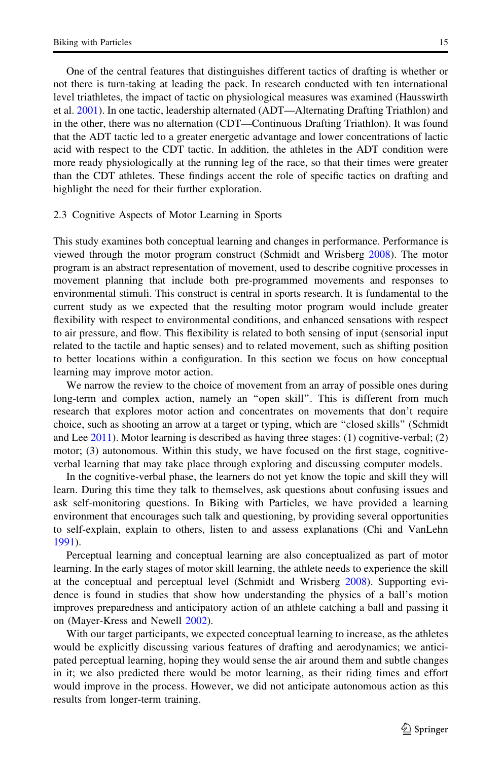One of the central features that distinguishes different tactics of drafting is whether or not there is turn-taking at leading the pack. In research conducted with ten international level triathletes, the impact of tactic on physiological measures was examined (Hausswirth et al. [2001](#page-27-0)). In one tactic, leadership alternated (ADT—Alternating Drafting Triathlon) and in the other, there was no alternation (CDT—Continuous Drafting Triathlon). It was found that the ADT tactic led to a greater energetic advantage and lower concentrations of lactic acid with respect to the CDT tactic. In addition, the athletes in the ADT condition were more ready physiologically at the running leg of the race, so that their times were greater than the CDT athletes. These findings accent the role of specific tactics on drafting and highlight the need for their further exploration.

#### 2.3 Cognitive Aspects of Motor Learning in Sports

This study examines both conceptual learning and changes in performance. Performance is viewed through the motor program construct (Schmidt and Wrisberg [2008\)](#page-27-0). The motor program is an abstract representation of movement, used to describe cognitive processes in movement planning that include both pre-programmed movements and responses to environmental stimuli. This construct is central in sports research. It is fundamental to the current study as we expected that the resulting motor program would include greater flexibility with respect to environmental conditions, and enhanced sensations with respect to air pressure, and flow. This flexibility is related to both sensing of input (sensorial input related to the tactile and haptic senses) and to related movement, such as shifting position to better locations within a configuration. In this section we focus on how conceptual learning may improve motor action.

We narrow the review to the choice of movement from an array of possible ones during long-term and complex action, namely an ''open skill''. This is different from much research that explores motor action and concentrates on movements that don't require choice, such as shooting an arrow at a target or typing, which are ''closed skills'' (Schmidt and Lee [2011](#page-27-0)). Motor learning is described as having three stages: (1) cognitive-verbal; (2) motor; (3) autonomous. Within this study, we have focused on the first stage, cognitiveverbal learning that may take place through exploring and discussing computer models.

In the cognitive-verbal phase, the learners do not yet know the topic and skill they will learn. During this time they talk to themselves, ask questions about confusing issues and ask self-monitoring questions. In Biking with Particles, we have provided a learning environment that encourages such talk and questioning, by providing several opportunities to self-explain, explain to others, listen to and assess explanations (Chi and VanLehn [1991\)](#page-27-0).

Perceptual learning and conceptual learning are also conceptualized as part of motor learning. In the early stages of motor skill learning, the athlete needs to experience the skill at the conceptual and perceptual level (Schmidt and Wrisberg [2008](#page-27-0)). Supporting evidence is found in studies that show how understanding the physics of a ball's motion improves preparedness and anticipatory action of an athlete catching a ball and passing it on (Mayer-Kress and Newell [2002](#page-27-0)).

With our target participants, we expected conceptual learning to increase, as the athletes would be explicitly discussing various features of drafting and aerodynamics; we anticipated perceptual learning, hoping they would sense the air around them and subtle changes in it; we also predicted there would be motor learning, as their riding times and effort would improve in the process. However, we did not anticipate autonomous action as this results from longer-term training.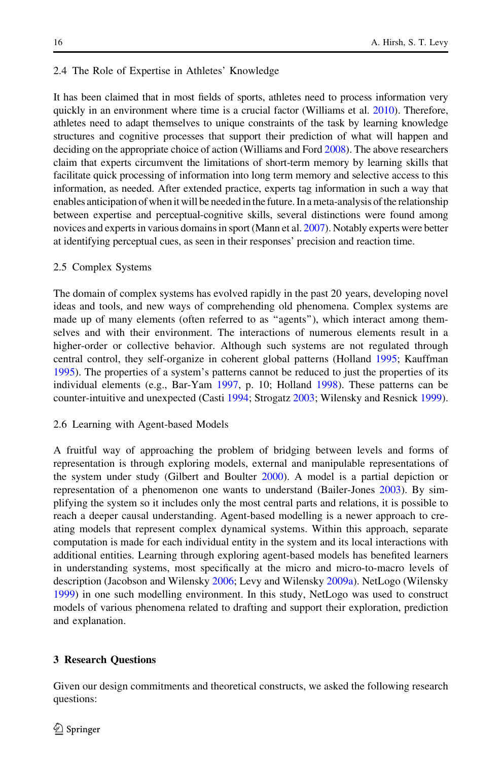## 2.4 The Role of Expertise in Athletes' Knowledge

It has been claimed that in most fields of sports, athletes need to process information very quickly in an environment where time is a crucial factor (Williams et al. [2010](#page-28-0)). Therefore, athletes need to adapt themselves to unique constraints of the task by learning knowledge structures and cognitive processes that support their prediction of what will happen and deciding on the appropriate choice of action (Williams and Ford [2008\)](#page-28-0). The above researchers claim that experts circumvent the limitations of short-term memory by learning skills that facilitate quick processing of information into long term memory and selective access to this information, as needed. After extended practice, experts tag information in such a way that enables anticipation of when it will be needed in the future. In a meta-analysis of the relationship between expertise and perceptual-cognitive skills, several distinctions were found among novices and experts in various domains in sport (Mann et al. [2007\)](#page-27-0). Notably experts were better at identifying perceptual cues, as seen in their responses' precision and reaction time.

#### 2.5 Complex Systems

The domain of complex systems has evolved rapidly in the past 20 years, developing novel ideas and tools, and new ways of comprehending old phenomena. Complex systems are made up of many elements (often referred to as ''agents''), which interact among themselves and with their environment. The interactions of numerous elements result in a higher-order or collective behavior. Although such systems are not regulated through central control, they self-organize in coherent global patterns (Holland [1995;](#page-27-0) Kauffman [1995\)](#page-27-0). The properties of a system's patterns cannot be reduced to just the properties of its individual elements (e.g., Bar-Yam [1997,](#page-26-0) p. 10; Holland [1998\)](#page-27-0). These patterns can be counter-intuitive and unexpected (Casti [1994;](#page-27-0) Strogatz [2003;](#page-27-0) Wilensky and Resnick [1999](#page-28-0)).

#### 2.6 Learning with Agent-based Models

A fruitful way of approaching the problem of bridging between levels and forms of representation is through exploring models, external and manipulable representations of the system under study (Gilbert and Boulter [2000](#page-27-0)). A model is a partial depiction or representation of a phenomenon one wants to understand (Bailer-Jones [2003](#page-26-0)). By simplifying the system so it includes only the most central parts and relations, it is possible to reach a deeper causal understanding. Agent-based modelling is a newer approach to creating models that represent complex dynamical systems. Within this approach, separate computation is made for each individual entity in the system and its local interactions with additional entities. Learning through exploring agent-based models has benefited learners in understanding systems, most specifically at the micro and micro-to-macro levels of description (Jacobson and Wilensky [2006;](#page-27-0) Levy and Wilensky [2009a](#page-27-0)). NetLogo (Wilensky [1999\)](#page-27-0) in one such modelling environment. In this study, NetLogo was used to construct models of various phenomena related to drafting and support their exploration, prediction and explanation.

## 3 Research Questions

Given our design commitments and theoretical constructs, we asked the following research questions: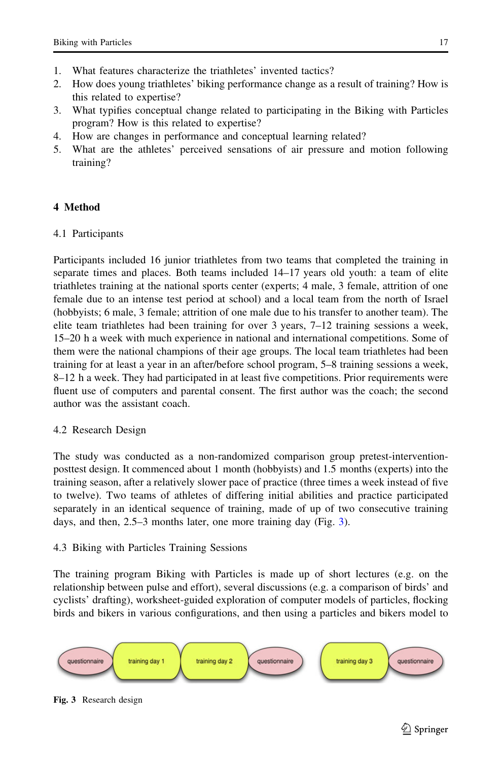- 1. What features characterize the triathletes' invented tactics?
- 2. How does young triathletes' biking performance change as a result of training? How is this related to expertise?
- 3. What typifies conceptual change related to participating in the Biking with Particles program? How is this related to expertise?
- 4. How are changes in performance and conceptual learning related?
- 5. What are the athletes' perceived sensations of air pressure and motion following training?

# 4 Method

# 4.1 Participants

Participants included 16 junior triathletes from two teams that completed the training in separate times and places. Both teams included 14–17 years old youth: a team of elite triathletes training at the national sports center (experts; 4 male, 3 female, attrition of one female due to an intense test period at school) and a local team from the north of Israel (hobbyists; 6 male, 3 female; attrition of one male due to his transfer to another team). The elite team triathletes had been training for over 3 years, 7–12 training sessions a week, 15–20 h a week with much experience in national and international competitions. Some of them were the national champions of their age groups. The local team triathletes had been training for at least a year in an after/before school program, 5–8 training sessions a week, 8–12 h a week. They had participated in at least five competitions. Prior requirements were fluent use of computers and parental consent. The first author was the coach; the second author was the assistant coach.

# 4.2 Research Design

The study was conducted as a non-randomized comparison group pretest-interventionposttest design. It commenced about 1 month (hobbyists) and 1.5 months (experts) into the training season, after a relatively slower pace of practice (three times a week instead of five to twelve). Two teams of athletes of differing initial abilities and practice participated separately in an identical sequence of training, made of up of two consecutive training days, and then, 2.5–3 months later, one more training day (Fig. 3).

# 4.3 Biking with Particles Training Sessions

The training program Biking with Particles is made up of short lectures (e.g. on the relationship between pulse and effort), several discussions (e.g. a comparison of birds' and cyclists' drafting), worksheet-guided exploration of computer models of particles, flocking birds and bikers in various configurations, and then using a particles and bikers model to



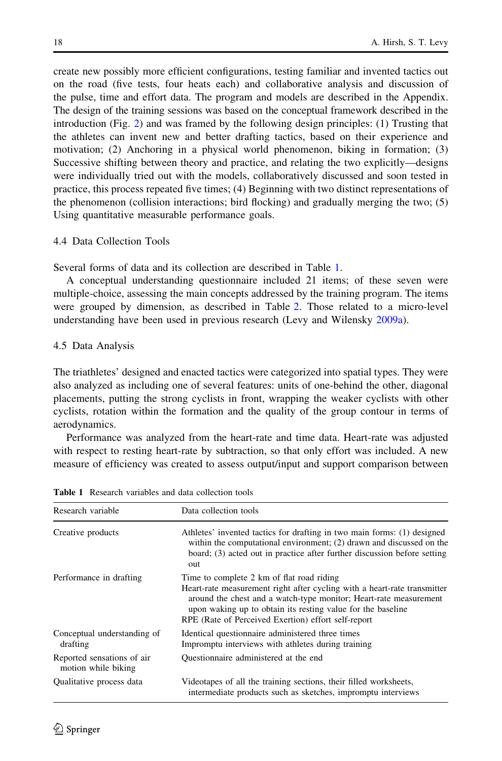create new possibly more efficient configurations, testing familiar and invented tactics out on the road (five tests, four heats each) and collaborative analysis and discussion of the pulse, time and effort data. The program and models are described in the Appendix. The design of the training sessions was based on the conceptual framework described in the introduction (Fig. [2](#page-3-0)) and was framed by the following design principles: (1) Trusting that the athletes can invent new and better drafting tactics, based on their experience and motivation; (2) Anchoring in a physical world phenomenon, biking in formation; (3) Successive shifting between theory and practice, and relating the two explicitly—designs were individually tried out with the models, collaboratively discussed and soon tested in practice, this process repeated five times; (4) Beginning with two distinct representations of the phenomenon (collision interactions; bird flocking) and gradually merging the two; (5) Using quantitative measurable performance goals.

### 4.4 Data Collection Tools

Several forms of data and its collection are described in Table 1.

A conceptual understanding questionnaire included 21 items; of these seven were multiple-choice, assessing the main concepts addressed by the training program. The items were grouped by dimension, as described in Table [2.](#page-10-0) Those related to a micro-level understanding have been used in previous research (Levy and Wilensky [2009a\)](#page-27-0).

#### 4.5 Data Analysis

The triathletes' designed and enacted tactics were categorized into spatial types. They were also analyzed as including one of several features: units of one-behind the other, diagonal placements, putting the strong cyclists in front, wrapping the weaker cyclists with other cyclists, rotation within the formation and the quality of the group contour in terms of aerodynamics.

Performance was analyzed from the heart-rate and time data. Heart-rate was adjusted with respect to resting heart-rate by subtraction, so that only effort was included. A new measure of efficiency was created to assess output/input and support comparison between

| Research variable                                 | Data collection tools                                                                                                                                                                                                                                                                                            |  |  |
|---------------------------------------------------|------------------------------------------------------------------------------------------------------------------------------------------------------------------------------------------------------------------------------------------------------------------------------------------------------------------|--|--|
| Creative products                                 | Athletes' invented tactics for drafting in two main forms: (1) designed<br>within the computational environment; (2) drawn and discussed on the<br>board; (3) acted out in practice after further discussion before setting<br>out                                                                               |  |  |
| Performance in drafting                           | Time to complete 2 km of flat road riding<br>Heart-rate measurement right after cycling with a heart-rate transmitter<br>around the chest and a watch-type monitor; Heart-rate measurement<br>upon waking up to obtain its resting value for the baseline<br>RPE (Rate of Perceived Exertion) effort self-report |  |  |
| Conceptual understanding of<br>drafting           | Identical questionnaire administered three times<br>Impromptu interviews with athletes during training                                                                                                                                                                                                           |  |  |
| Reported sensations of air<br>motion while biking | Questionnaire administered at the end                                                                                                                                                                                                                                                                            |  |  |
| Qualitative process data                          | Videotapes of all the training sections, their filled worksheets,<br>intermediate products such as sketches, impromptu interviews                                                                                                                                                                                |  |  |

Table 1 Research variables and data collection tools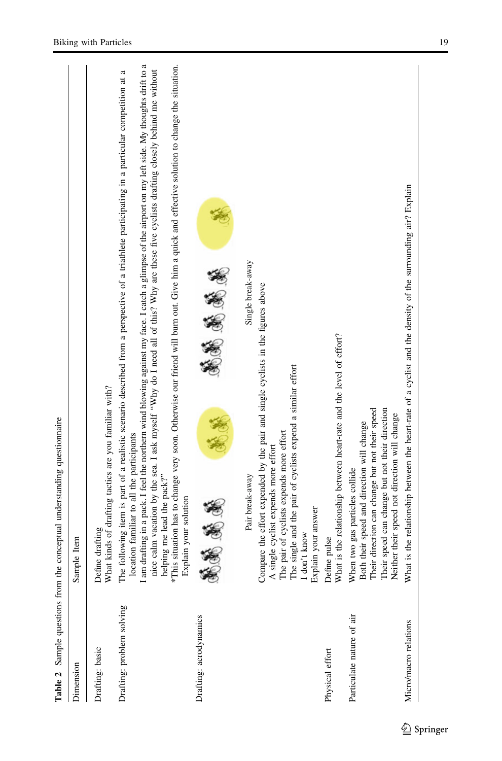<span id="page-10-0"></span>

|                           | Table 2 Sample questions from the conceptual understanding questionnaire                                                                                                                                                                                                                                                                                                                                                                                                                                                                                                                                                                                                                             |
|---------------------------|------------------------------------------------------------------------------------------------------------------------------------------------------------------------------------------------------------------------------------------------------------------------------------------------------------------------------------------------------------------------------------------------------------------------------------------------------------------------------------------------------------------------------------------------------------------------------------------------------------------------------------------------------------------------------------------------------|
| Dimension                 | Sample Item                                                                                                                                                                                                                                                                                                                                                                                                                                                                                                                                                                                                                                                                                          |
| Drafting: basic           | Define drafting<br>What kinds of drafting tactics are you familiar with?                                                                                                                                                                                                                                                                                                                                                                                                                                                                                                                                                                                                                             |
| Drafting: problem solving | *This situation has to change very soon. Otherwise our friend will burn out. Give him a quick and effective solution to change the situation.<br>I am drafting in a pack. I feel the northern wind blowing against my face. I catch a glimpse of the airport on my left side. My thoughts drift to a<br>nice calm vacation by the sea. I ask myself "Why do I need all of this? Why are these five cyclists drafting closely behind me without<br>The following item is part of a realistic scenario described from a perspective of a triathlete participating in a particular competition at a<br>location familiar to all the participants<br>helping me lead the pack?"<br>Explain your solution |
| Drafting: aerodynamics    | 法务会员<br>高潮 地名                                                                                                                                                                                                                                                                                                                                                                                                                                                                                                                                                                                                                                                                                        |
|                           | Single break-away<br>Pair break-away                                                                                                                                                                                                                                                                                                                                                                                                                                                                                                                                                                                                                                                                 |
|                           | Compare the effort expended by the pair and single cyclists in the figures above<br>A single cyclist expends more effort<br>The pair of cyclists expends more effort<br>The single and the pair of cyclists expend a similar effort<br>I don't know<br>Explain your answer                                                                                                                                                                                                                                                                                                                                                                                                                           |
| Physical effort           | Define pulse<br>What is the relationship between heart-rate and the level of effort?                                                                                                                                                                                                                                                                                                                                                                                                                                                                                                                                                                                                                 |
| Particulate nature of air | When two gas particles collide<br>Both their speed and direction will change<br>Their direction can change but not their speed<br>Their speed can change but not their direction<br>Neither their speed not direction will change                                                                                                                                                                                                                                                                                                                                                                                                                                                                    |
| Micro/macro relations     | What is the relationship between the heart-rate of a cyclist and the density of the surrounding air? Explain                                                                                                                                                                                                                                                                                                                                                                                                                                                                                                                                                                                         |
|                           |                                                                                                                                                                                                                                                                                                                                                                                                                                                                                                                                                                                                                                                                                                      |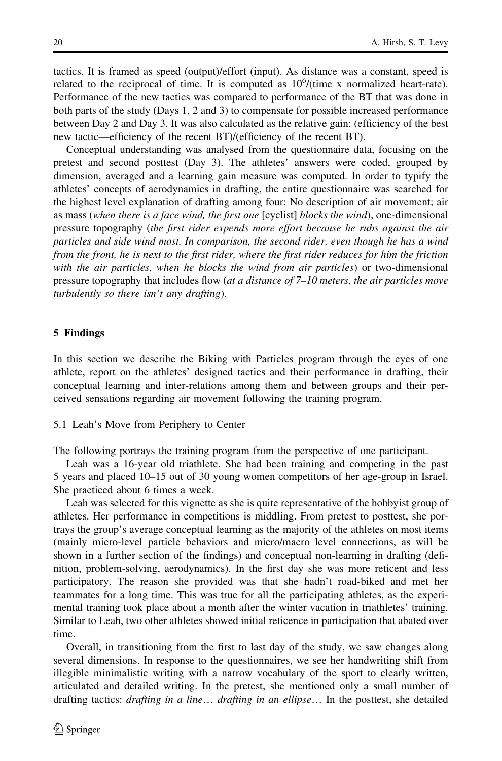tactics. It is framed as speed (output)/effort (input). As distance was a constant, speed is related to the reciprocal of time. It is computed as  $10^6$ /(time x normalized heart-rate). Performance of the new tactics was compared to performance of the BT that was done in both parts of the study (Days 1, 2 and 3) to compensate for possible increased performance between Day 2 and Day 3. It was also calculated as the relative gain: (efficiency of the best new tactic—efficiency of the recent BT)/(efficiency of the recent BT).

Conceptual understanding was analysed from the questionnaire data, focusing on the pretest and second posttest (Day 3). The athletes' answers were coded, grouped by dimension, averaged and a learning gain measure was computed. In order to typify the athletes' concepts of aerodynamics in drafting, the entire questionnaire was searched for the highest level explanation of drafting among four: No description of air movement; air as mass (when there is a face wind, the first one [cyclist] blocks the wind), one-dimensional pressure topography (the first rider expends more effort because he rubs against the air particles and side wind most. In comparison, the second rider, even though he has a wind from the front, he is next to the first rider, where the first rider reduces for him the friction with the air particles, when he blocks the wind from air particles) or two-dimensional pressure topography that includes flow (at a distance of 7–10 meters, the air particles move turbulently so there isn't any drafting).

## 5 Findings

In this section we describe the Biking with Particles program through the eyes of one athlete, report on the athletes' designed tactics and their performance in drafting, their conceptual learning and inter-relations among them and between groups and their perceived sensations regarding air movement following the training program.

5.1 Leah's Move from Periphery to Center

The following portrays the training program from the perspective of one participant.

Leah was a 16-year old triathlete. She had been training and competing in the past 5 years and placed 10–15 out of 30 young women competitors of her age-group in Israel. She practiced about 6 times a week.

Leah was selected for this vignette as she is quite representative of the hobbyist group of athletes. Her performance in competitions is middling. From pretest to posttest, she portrays the group's average conceptual learning as the majority of the athletes on most items (mainly micro-level particle behaviors and micro/macro level connections, as will be shown in a further section of the findings) and conceptual non-learning in drafting (definition, problem-solving, aerodynamics). In the first day she was more reticent and less participatory. The reason she provided was that she hadn't road-biked and met her teammates for a long time. This was true for all the participating athletes, as the experimental training took place about a month after the winter vacation in triathletes' training. Similar to Leah, two other athletes showed initial reticence in participation that abated over time.

Overall, in transitioning from the first to last day of the study, we saw changes along several dimensions. In response to the questionnaires, we see her handwriting shift from illegible minimalistic writing with a narrow vocabulary of the sport to clearly written, articulated and detailed writing. In the pretest, she mentioned only a small number of drafting tactics: *drafting in a line... drafting in an ellipse...* In the posttest, she detailed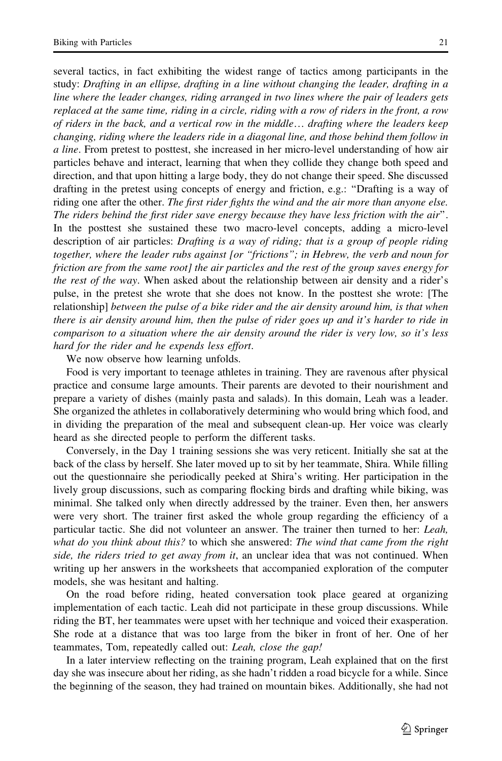several tactics, in fact exhibiting the widest range of tactics among participants in the study: Drafting in an ellipse, drafting in a line without changing the leader, drafting in a line where the leader changes, riding arranged in two lines where the pair of leaders gets replaced at the same time, riding in a circle, riding with a row of riders in the front, a row of riders in the back, and a vertical row in the middle… drafting where the leaders keep changing, riding where the leaders ride in a diagonal line, and those behind them follow in a line. From pretest to posttest, she increased in her micro-level understanding of how air particles behave and interact, learning that when they collide they change both speed and direction, and that upon hitting a large body, they do not change their speed. She discussed drafting in the pretest using concepts of energy and friction, e.g.: ''Drafting is a way of riding one after the other. The first rider fights the wind and the air more than anyone else. The riders behind the first rider save energy because they have less friction with the air''. In the posttest she sustained these two macro-level concepts, adding a micro-level description of air particles: *Drafting is a way of riding; that is a group of people riding* together, where the leader rubs against [or ''frictions''; in Hebrew, the verb and noun for friction are from the same root] the air particles and the rest of the group saves energy for the rest of the way. When asked about the relationship between air density and a rider's pulse, in the pretest she wrote that she does not know. In the posttest she wrote: [The relationship] between the pulse of a bike rider and the air density around him, is that when there is air density around him, then the pulse of rider goes up and it's harder to ride in comparison to a situation where the air density around the rider is very low, so it's less hard for the rider and he expends less effort.

We now observe how learning unfolds.

Food is very important to teenage athletes in training. They are ravenous after physical practice and consume large amounts. Their parents are devoted to their nourishment and prepare a variety of dishes (mainly pasta and salads). In this domain, Leah was a leader. She organized the athletes in collaboratively determining who would bring which food, and in dividing the preparation of the meal and subsequent clean-up. Her voice was clearly heard as she directed people to perform the different tasks.

Conversely, in the Day 1 training sessions she was very reticent. Initially she sat at the back of the class by herself. She later moved up to sit by her teammate, Shira. While filling out the questionnaire she periodically peeked at Shira's writing. Her participation in the lively group discussions, such as comparing flocking birds and drafting while biking, was minimal. She talked only when directly addressed by the trainer. Even then, her answers were very short. The trainer first asked the whole group regarding the efficiency of a particular tactic. She did not volunteer an answer. The trainer then turned to her: Leah, what do you think about this? to which she answered: The wind that came from the right side, the riders tried to get away from it, an unclear idea that was not continued. When writing up her answers in the worksheets that accompanied exploration of the computer models, she was hesitant and halting.

On the road before riding, heated conversation took place geared at organizing implementation of each tactic. Leah did not participate in these group discussions. While riding the BT, her teammates were upset with her technique and voiced their exasperation. She rode at a distance that was too large from the biker in front of her. One of her teammates, Tom, repeatedly called out: Leah, close the gap!

In a later interview reflecting on the training program, Leah explained that on the first day she was insecure about her riding, as she hadn't ridden a road bicycle for a while. Since the beginning of the season, they had trained on mountain bikes. Additionally, she had not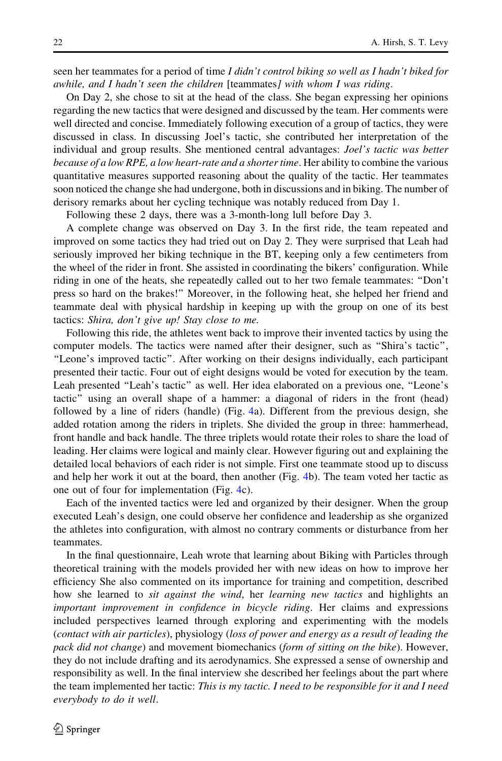seen her teammates for a period of time I didn't control biking so well as I hadn't biked for awhile, and I hadn't seen the children [teammates] with whom I was riding.

On Day 2, she chose to sit at the head of the class. She began expressing her opinions regarding the new tactics that were designed and discussed by the team. Her comments were well directed and concise. Immediately following execution of a group of tactics, they were discussed in class. In discussing Joel's tactic, she contributed her interpretation of the individual and group results. She mentioned central advantages: Joel's tactic was better because of a low RPE, a low heart-rate and a shorter time. Her ability to combine the various quantitative measures supported reasoning about the quality of the tactic. Her teammates soon noticed the change she had undergone, both in discussions and in biking. The number of derisory remarks about her cycling technique was notably reduced from Day 1.

Following these 2 days, there was a 3-month-long lull before Day 3.

A complete change was observed on Day 3. In the first ride, the team repeated and improved on some tactics they had tried out on Day 2. They were surprised that Leah had seriously improved her biking technique in the BT, keeping only a few centimeters from the wheel of the rider in front. She assisted in coordinating the bikers' configuration. While riding in one of the heats, she repeatedly called out to her two female teammates: ''Don't press so hard on the brakes!'' Moreover, in the following heat, she helped her friend and teammate deal with physical hardship in keeping up with the group on one of its best tactics: Shira, don't give up! Stay close to me.

Following this ride, the athletes went back to improve their invented tactics by using the computer models. The tactics were named after their designer, such as ''Shira's tactic'', "Leone's improved tactic". After working on their designs individually, each participant presented their tactic. Four out of eight designs would be voted for execution by the team. Leah presented ''Leah's tactic'' as well. Her idea elaborated on a previous one, ''Leone's tactic'' using an overall shape of a hammer: a diagonal of riders in the front (head) followed by a line of riders (handle) (Fig. [4a](#page-14-0)). Different from the previous design, she added rotation among the riders in triplets. She divided the group in three: hammerhead, front handle and back handle. The three triplets would rotate their roles to share the load of leading. Her claims were logical and mainly clear. However figuring out and explaining the detailed local behaviors of each rider is not simple. First one teammate stood up to discuss and help her work it out at the board, then another (Fig. [4](#page-14-0)b). The team voted her tactic as one out of four for implementation (Fig. [4c](#page-14-0)).

Each of the invented tactics were led and organized by their designer. When the group executed Leah's design, one could observe her confidence and leadership as she organized the athletes into configuration, with almost no contrary comments or disturbance from her teammates.

In the final questionnaire, Leah wrote that learning about Biking with Particles through theoretical training with the models provided her with new ideas on how to improve her efficiency She also commented on its importance for training and competition, described how she learned to *sit against the wind*, her *learning new tactics* and highlights an important improvement in confidence in bicycle riding. Her claims and expressions included perspectives learned through exploring and experimenting with the models (contact with air particles), physiology (loss of power and energy as a result of leading the pack did not change) and movement biomechanics (form of sitting on the bike). However, they do not include drafting and its aerodynamics. She expressed a sense of ownership and responsibility as well. In the final interview she described her feelings about the part where the team implemented her tactic: This is my tactic. I need to be responsible for it and I need everybody to do it well.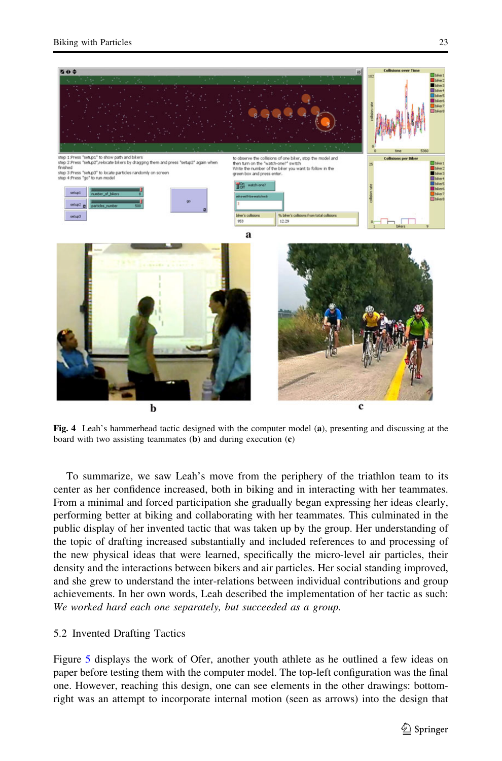<span id="page-14-0"></span>

Fig. 4 Leah's hammerhead tactic designed with the computer model (a), presenting and discussing at the board with two assisting teammates (b) and during execution (c)

To summarize, we saw Leah's move from the periphery of the triathlon team to its center as her confidence increased, both in biking and in interacting with her teammates. From a minimal and forced participation she gradually began expressing her ideas clearly, performing better at biking and collaborating with her teammates. This culminated in the public display of her invented tactic that was taken up by the group. Her understanding of the topic of drafting increased substantially and included references to and processing of the new physical ideas that were learned, specifically the micro-level air particles, their density and the interactions between bikers and air particles. Her social standing improved, and she grew to understand the inter-relations between individual contributions and group achievements. In her own words, Leah described the implementation of her tactic as such: We worked hard each one separately, but succeeded as a group.

## 5.2 Invented Drafting Tactics

Figure [5](#page-15-0) displays the work of Ofer, another youth athlete as he outlined a few ideas on paper before testing them with the computer model. The top-left configuration was the final one. However, reaching this design, one can see elements in the other drawings: bottomright was an attempt to incorporate internal motion (seen as arrows) into the design that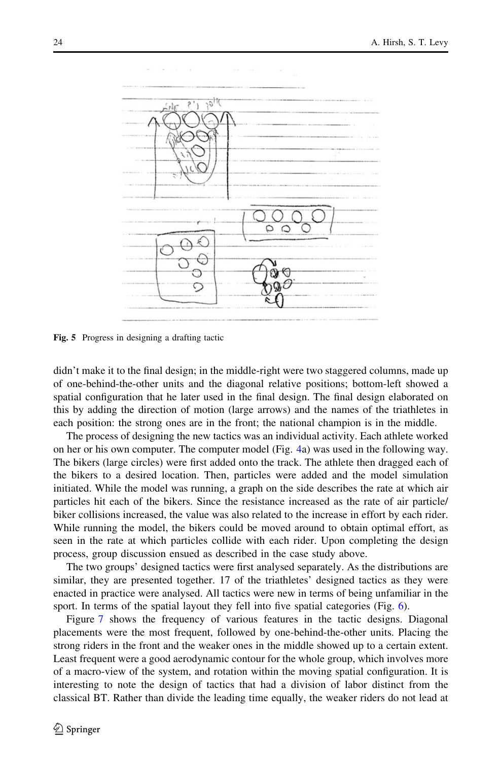<span id="page-15-0"></span>

Fig. 5 Progress in designing a drafting tactic

didn't make it to the final design; in the middle-right were two staggered columns, made up of one-behind-the-other units and the diagonal relative positions; bottom-left showed a spatial configuration that he later used in the final design. The final design elaborated on this by adding the direction of motion (large arrows) and the names of the triathletes in each position: the strong ones are in the front; the national champion is in the middle.

The process of designing the new tactics was an individual activity. Each athlete worked on her or his own computer. The computer model (Fig. [4](#page-14-0)a) was used in the following way. The bikers (large circles) were first added onto the track. The athlete then dragged each of the bikers to a desired location. Then, particles were added and the model simulation initiated. While the model was running, a graph on the side describes the rate at which air particles hit each of the bikers. Since the resistance increased as the rate of air particle/ biker collisions increased, the value was also related to the increase in effort by each rider. While running the model, the bikers could be moved around to obtain optimal effort, as seen in the rate at which particles collide with each rider. Upon completing the design process, group discussion ensued as described in the case study above.

The two groups' designed tactics were first analysed separately. As the distributions are similar, they are presented together. 17 of the triathletes' designed tactics as they were enacted in practice were analysed. All tactics were new in terms of being unfamiliar in the sport. In terms of the spatial layout they fell into five spatial categories (Fig. [6](#page-16-0)).

Figure [7](#page-16-0) shows the frequency of various features in the tactic designs. Diagonal placements were the most frequent, followed by one-behind-the-other units. Placing the strong riders in the front and the weaker ones in the middle showed up to a certain extent. Least frequent were a good aerodynamic contour for the whole group, which involves more of a macro-view of the system, and rotation within the moving spatial configuration. It is interesting to note the design of tactics that had a division of labor distinct from the classical BT. Rather than divide the leading time equally, the weaker riders do not lead at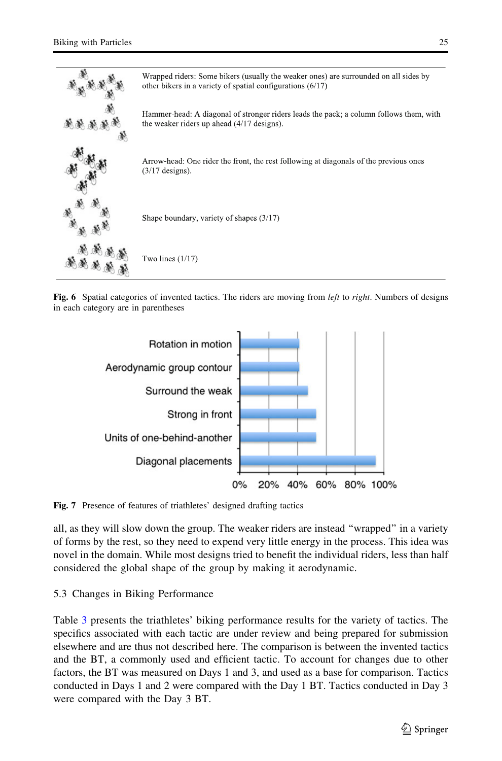<span id="page-16-0"></span>

Fig. 6 Spatial categories of invented tactics. The riders are moving from left to right. Numbers of designs in each category are in parentheses



Fig. 7 Presence of features of triathletes' designed drafting tactics

all, as they will slow down the group. The weaker riders are instead ''wrapped'' in a variety of forms by the rest, so they need to expend very little energy in the process. This idea was novel in the domain. While most designs tried to benefit the individual riders, less than half considered the global shape of the group by making it aerodynamic.

# 5.3 Changes in Biking Performance

Table [3](#page-17-0) presents the triathletes' biking performance results for the variety of tactics. The specifics associated with each tactic are under review and being prepared for submission elsewhere and are thus not described here. The comparison is between the invented tactics and the BT, a commonly used and efficient tactic. To account for changes due to other factors, the BT was measured on Days 1 and 3, and used as a base for comparison. Tactics conducted in Days 1 and 2 were compared with the Day 1 BT. Tactics conducted in Day 3 were compared with the Day 3 BT.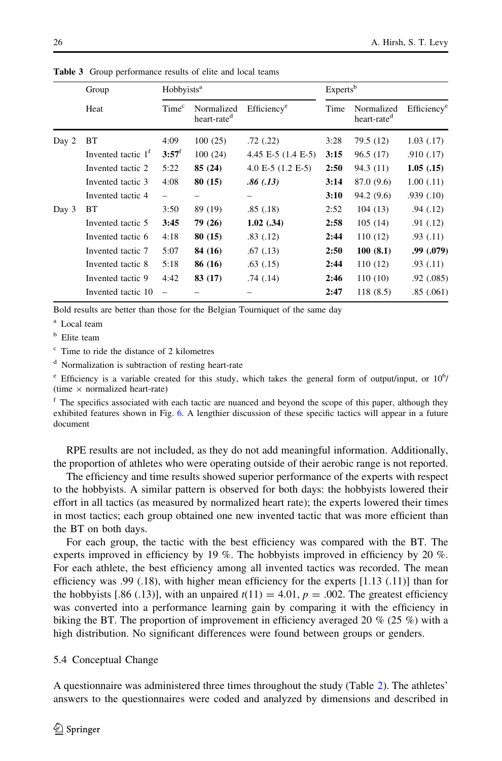|       | Group<br>Heat        | Hobbyists <sup>a</sup> |                                       |                         | Expertsb |                                       |                         |
|-------|----------------------|------------------------|---------------------------------------|-------------------------|----------|---------------------------------------|-------------------------|
|       |                      | Time <sup>c</sup>      | Normalized<br>heart-rate <sup>d</sup> | Efficiency <sup>e</sup> | Time     | Normalized<br>heart-rate <sup>d</sup> | Efficiency <sup>e</sup> |
| Day 2 | BT                   | 4:09                   | 100(25)                               | .72(.22)                | 3:28     | 79.5 (12)                             | 1.03(0.17)              |
|       | Invented tactic $1t$ | $3:57^f$               | 100(24)                               | 4.45 E-5 $(1.4 E-5)$    | 3:15     | 96.5(17)                              | .910(.17)               |
|       | Invented tactic 2    | 5:22                   | 85 (24)                               | 4.0 E-5 $(1.2 E-5)$     | 2:50     | 94.3 (11)                             | 1.05(0.15)              |
|       | Invented tactic 3    | 4:08                   | 80 (15)                               | .86(.13)                | 3:14     | 87.0 (9.6)                            | 1.00(0.11)              |
|       | Invented tactic 4    |                        |                                       |                         | 3:10     | 94.2 (9.6)                            | .939(0.10)              |
| Day 3 | BT                   | 3:50                   | 89 (19)                               | .85(.18)                | 2:52     | 104(13)                               | .94(0.12)               |
|       | Invented tactic 5    | 3:45                   | 79 (26)                               | 1.02(0.34)              | 2:58     | 105(14)                               | .91( .12)               |
|       | Invented tactic 6    | 4:18                   | 80 (15)                               | .83(.12)                | 2:44     | 110(12)                               | .93(0.11)               |
|       | Invented tactic 7    | 5:07                   | 84 (16)                               | .67(0.13)               | 2:50     | 100(8.1)                              | .99(.079)               |
|       | Invented tactic 8    | 5:18                   | 86 (16)                               | .63(.15)                | 2:44     | 110 (12)                              | .93(0.11)               |
|       | Invented tactic 9    | 4:42                   | 83 (17)                               | .74(.14)                | 2:46     | 110(10)                               | .92(0.085)              |
|       | Invented tactic 10   |                        |                                       |                         | 2:47     | 118(8.5)                              | .85(.061)               |
|       |                      |                        |                                       |                         |          |                                       |                         |

<span id="page-17-0"></span>Table 3 Group performance results of elite and local teams

Bold results are better than those for the Belgian Tourniquet of the same day

<sup>a</sup> Local team

<sup>b</sup> Elite team

 $\degree$  Time to ride the distance of 2 kilometres

<sup>d</sup> Normalization is subtraction of resting heart-rate

 $e$  Efficiency is a variable created for this study, which takes the general form of output/input, or  $10^6$ (time  $\times$  normalized heart-rate)

<sup>f</sup> The specifics associated with each tactic are nuanced and beyond the scope of this paper, although they exhibited features shown in Fig. [6](#page-16-0). A lengthier discussion of these specific tactics will appear in a future document

RPE results are not included, as they do not add meaningful information. Additionally, the proportion of athletes who were operating outside of their aerobic range is not reported.

The efficiency and time results showed superior performance of the experts with respect to the hobbyists. A similar pattern is observed for both days: the hobbyists lowered their effort in all tactics (as measured by normalized heart rate); the experts lowered their times in most tactics; each group obtained one new invented tactic that was more efficient than the BT on both days.

For each group, the tactic with the best efficiency was compared with the BT. The experts improved in efficiency by 19 %. The hobbyists improved in efficiency by 20 %. For each athlete, the best efficiency among all invented tactics was recorded. The mean efficiency was .99 (.18), with higher mean efficiency for the experts [1.13 (.11)] than for the hobbyists [.86 (.13)], with an unpaired  $t(11) = 4.01$ ,  $p = .002$ . The greatest efficiency was converted into a performance learning gain by comparing it with the efficiency in biking the BT. The proportion of improvement in efficiency averaged 20 % (25 %) with a high distribution. No significant differences were found between groups or genders.

## 5.4 Conceptual Change

A questionnaire was administered three times throughout the study (Table [2](#page-10-0)). The athletes' answers to the questionnaires were coded and analyzed by dimensions and described in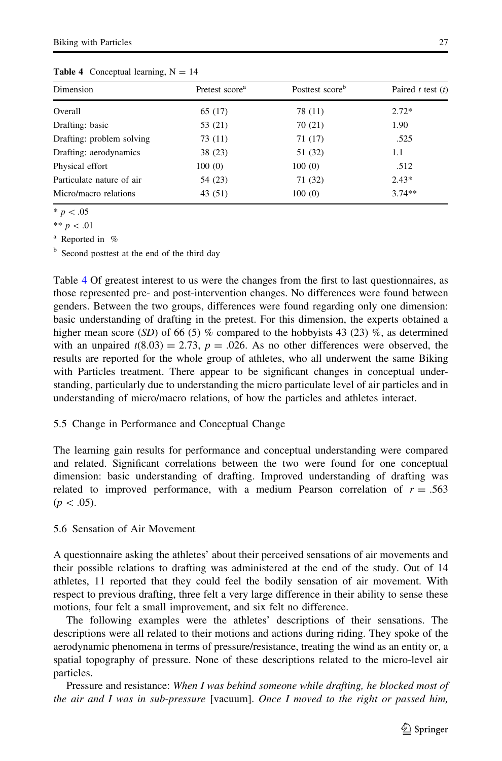| Dimension                 | Pretest score <sup>a</sup> | Posttest score <sup>b</sup> | Paired $t$ test $(t)$ |
|---------------------------|----------------------------|-----------------------------|-----------------------|
| Overall                   | 65 (17)                    | 78 (11)                     | $2.72*$               |
| Drafting: basic           | 53 (21)                    | 70(21)                      | 1.90                  |
| Drafting: problem solving | 73 (11)                    | 71 (17)                     | .525                  |
| Drafting: aerodynamics    | 38(23)                     | 51 (32)                     | 1.1                   |
| Physical effort           | 100(0)                     | 100(0)                      | .512                  |
| Particulate nature of air | 54 (23)                    | 71 (32)                     | $2.43*$               |
| Micro/macro relations     | 43 (51)                    | 100(0)                      | $3.74**$              |

**Table 4** Conceptual learning,  $N = 14$ 

 $* \, p < .05$ 

\*\*  $p < .01$ 

<sup>a</sup> Reported in %

<sup>b</sup> Second posttest at the end of the third day

Table 4 Of greatest interest to us were the changes from the first to last questionnaires, as those represented pre- and post-intervention changes. No differences were found between genders. Between the two groups, differences were found regarding only one dimension: basic understanding of drafting in the pretest. For this dimension, the experts obtained a higher mean score (SD) of 66 (5) % compared to the hobbyists 43 (23) %, as determined with an unpaired  $t(8.03) = 2.73$ ,  $p = .026$ . As no other differences were observed, the results are reported for the whole group of athletes, who all underwent the same Biking with Particles treatment. There appear to be significant changes in conceptual understanding, particularly due to understanding the micro particulate level of air particles and in understanding of micro/macro relations, of how the particles and athletes interact.

# 5.5 Change in Performance and Conceptual Change

The learning gain results for performance and conceptual understanding were compared and related. Significant correlations between the two were found for one conceptual dimension: basic understanding of drafting. Improved understanding of drafting was related to improved performance, with a medium Pearson correlation of  $r = .563$  $(p<.05)$ .

## 5.6 Sensation of Air Movement

A questionnaire asking the athletes' about their perceived sensations of air movements and their possible relations to drafting was administered at the end of the study. Out of 14 athletes, 11 reported that they could feel the bodily sensation of air movement. With respect to previous drafting, three felt a very large difference in their ability to sense these motions, four felt a small improvement, and six felt no difference.

The following examples were the athletes' descriptions of their sensations. The descriptions were all related to their motions and actions during riding. They spoke of the aerodynamic phenomena in terms of pressure/resistance, treating the wind as an entity or, a spatial topography of pressure. None of these descriptions related to the micro-level air particles.

Pressure and resistance: When I was behind someone while drafting, he blocked most of the air and I was in sub-pressure [vacuum]. Once I moved to the right or passed him,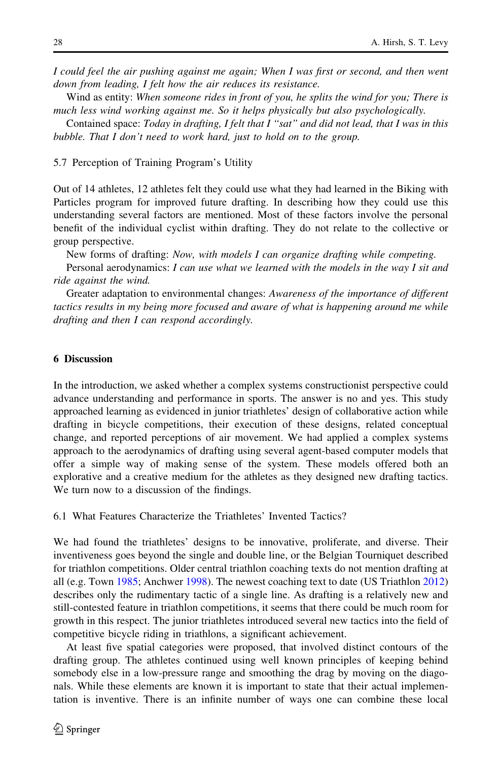I could feel the air pushing against me again; When I was first or second, and then went down from leading, I felt how the air reduces its resistance.

Wind as entity: When someone rides in front of you, he splits the wind for you; There is much less wind working against me. So it helps physically but also psychologically.

Contained space: Today in drafting, I felt that I "sat" and did not lead, that I was in this bubble. That I don't need to work hard, just to hold on to the group.

#### 5.7 Perception of Training Program's Utility

Out of 14 athletes, 12 athletes felt they could use what they had learned in the Biking with Particles program for improved future drafting. In describing how they could use this understanding several factors are mentioned. Most of these factors involve the personal benefit of the individual cyclist within drafting. They do not relate to the collective or group perspective.

New forms of drafting: Now, with models I can organize drafting while competing.

Personal aerodynamics: I can use what we learned with the models in the way I sit and ride against the wind.

Greater adaptation to environmental changes: Awareness of the importance of different tactics results in my being more focused and aware of what is happening around me while drafting and then I can respond accordingly.

### 6 Discussion

In the introduction, we asked whether a complex systems constructionist perspective could advance understanding and performance in sports. The answer is no and yes. This study approached learning as evidenced in junior triathletes' design of collaborative action while drafting in bicycle competitions, their execution of these designs, related conceptual change, and reported perceptions of air movement. We had applied a complex systems approach to the aerodynamics of drafting using several agent-based computer models that offer a simple way of making sense of the system. These models offered both an explorative and a creative medium for the athletes as they designed new drafting tactics. We turn now to a discussion of the findings.

6.1 What Features Characterize the Triathletes' Invented Tactics?

We had found the triathletes' designs to be innovative, proliferate, and diverse. Their inventiveness goes beyond the single and double line, or the Belgian Tourniquet described for triathlon competitions. Older central triathlon coaching texts do not mention drafting at all (e.g. Town [1985;](#page-27-0) Anchwer [1998\)](#page-26-0). The newest coaching text to date (US Triathlon [2012](#page-27-0)) describes only the rudimentary tactic of a single line. As drafting is a relatively new and still-contested feature in triathlon competitions, it seems that there could be much room for growth in this respect. The junior triathletes introduced several new tactics into the field of competitive bicycle riding in triathlons, a significant achievement.

At least five spatial categories were proposed, that involved distinct contours of the drafting group. The athletes continued using well known principles of keeping behind somebody else in a low-pressure range and smoothing the drag by moving on the diagonals. While these elements are known it is important to state that their actual implementation is inventive. There is an infinite number of ways one can combine these local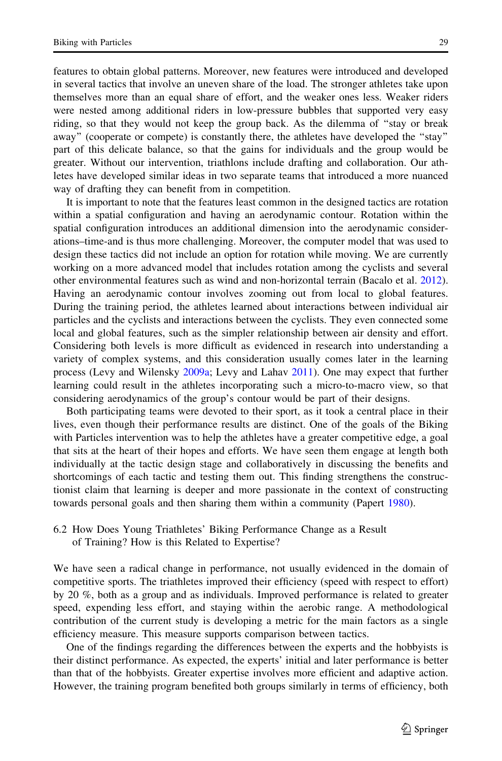features to obtain global patterns. Moreover, new features were introduced and developed in several tactics that involve an uneven share of the load. The stronger athletes take upon themselves more than an equal share of effort, and the weaker ones less. Weaker riders were nested among additional riders in low-pressure bubbles that supported very easy riding, so that they would not keep the group back. As the dilemma of ''stay or break away'' (cooperate or compete) is constantly there, the athletes have developed the ''stay'' part of this delicate balance, so that the gains for individuals and the group would be greater. Without our intervention, triathlons include drafting and collaboration. Our athletes have developed similar ideas in two separate teams that introduced a more nuanced way of drafting they can benefit from in competition.

It is important to note that the features least common in the designed tactics are rotation within a spatial configuration and having an aerodynamic contour. Rotation within the spatial configuration introduces an additional dimension into the aerodynamic considerations–time-and is thus more challenging. Moreover, the computer model that was used to design these tactics did not include an option for rotation while moving. We are currently working on a more advanced model that includes rotation among the cyclists and several other environmental features such as wind and non-horizontal terrain (Bacalo et al. [2012](#page-26-0)). Having an aerodynamic contour involves zooming out from local to global features. During the training period, the athletes learned about interactions between individual air particles and the cyclists and interactions between the cyclists. They even connected some local and global features, such as the simpler relationship between air density and effort. Considering both levels is more difficult as evidenced in research into understanding a variety of complex systems, and this consideration usually comes later in the learning process (Levy and Wilensky [2009a](#page-27-0); Levy and Lahav [2011](#page-27-0)). One may expect that further learning could result in the athletes incorporating such a micro-to-macro view, so that considering aerodynamics of the group's contour would be part of their designs.

Both participating teams were devoted to their sport, as it took a central place in their lives, even though their performance results are distinct. One of the goals of the Biking with Particles intervention was to help the athletes have a greater competitive edge, a goal that sits at the heart of their hopes and efforts. We have seen them engage at length both individually at the tactic design stage and collaboratively in discussing the benefits and shortcomings of each tactic and testing them out. This finding strengthens the constructionist claim that learning is deeper and more passionate in the context of constructing towards personal goals and then sharing them within a community (Papert [1980\)](#page-27-0).

6.2 How Does Young Triathletes' Biking Performance Change as a Result of Training? How is this Related to Expertise?

We have seen a radical change in performance, not usually evidenced in the domain of competitive sports. The triathletes improved their efficiency (speed with respect to effort) by 20 %, both as a group and as individuals. Improved performance is related to greater speed, expending less effort, and staying within the aerobic range. A methodological contribution of the current study is developing a metric for the main factors as a single efficiency measure. This measure supports comparison between tactics.

One of the findings regarding the differences between the experts and the hobbyists is their distinct performance. As expected, the experts' initial and later performance is better than that of the hobbyists. Greater expertise involves more efficient and adaptive action. However, the training program benefited both groups similarly in terms of efficiency, both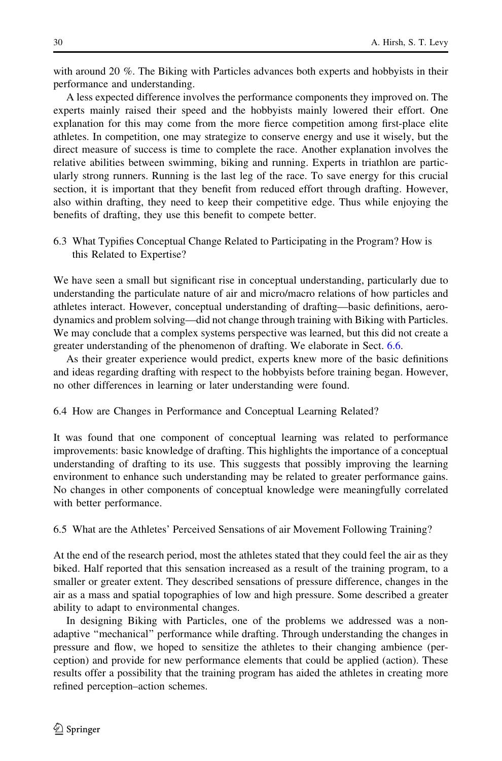with around 20 %. The Biking with Particles advances both experts and hobbyists in their performance and understanding.

A less expected difference involves the performance components they improved on. The experts mainly raised their speed and the hobbyists mainly lowered their effort. One explanation for this may come from the more fierce competition among first-place elite athletes. In competition, one may strategize to conserve energy and use it wisely, but the direct measure of success is time to complete the race. Another explanation involves the relative abilities between swimming, biking and running. Experts in triathlon are particularly strong runners. Running is the last leg of the race. To save energy for this crucial section, it is important that they benefit from reduced effort through drafting. However, also within drafting, they need to keep their competitive edge. Thus while enjoying the benefits of drafting, they use this benefit to compete better.

6.3 What Typifies Conceptual Change Related to Participating in the Program? How is this Related to Expertise?

We have seen a small but significant rise in conceptual understanding, particularly due to understanding the particulate nature of air and micro/macro relations of how particles and athletes interact. However, conceptual understanding of drafting—basic definitions, aerodynamics and problem solving—did not change through training with Biking with Particles. We may conclude that a complex systems perspective was learned, but this did not create a greater understanding of the phenomenon of drafting. We elaborate in Sect. [6.6.](#page-22-0)

As their greater experience would predict, experts knew more of the basic definitions and ideas regarding drafting with respect to the hobbyists before training began. However, no other differences in learning or later understanding were found.

## 6.4 How are Changes in Performance and Conceptual Learning Related?

It was found that one component of conceptual learning was related to performance improvements: basic knowledge of drafting. This highlights the importance of a conceptual understanding of drafting to its use. This suggests that possibly improving the learning environment to enhance such understanding may be related to greater performance gains. No changes in other components of conceptual knowledge were meaningfully correlated with better performance.

6.5 What are the Athletes' Perceived Sensations of air Movement Following Training?

At the end of the research period, most the athletes stated that they could feel the air as they biked. Half reported that this sensation increased as a result of the training program, to a smaller or greater extent. They described sensations of pressure difference, changes in the air as a mass and spatial topographies of low and high pressure. Some described a greater ability to adapt to environmental changes.

In designing Biking with Particles, one of the problems we addressed was a nonadaptive ''mechanical'' performance while drafting. Through understanding the changes in pressure and flow, we hoped to sensitize the athletes to their changing ambience (perception) and provide for new performance elements that could be applied (action). These results offer a possibility that the training program has aided the athletes in creating more refined perception–action schemes.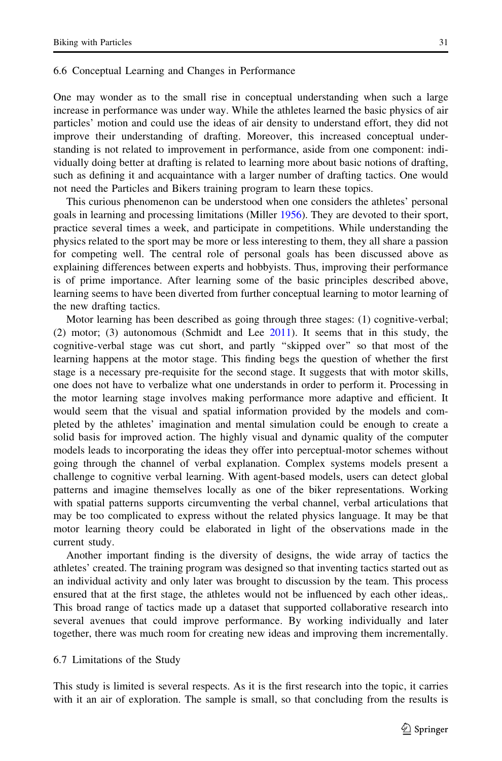#### <span id="page-22-0"></span>6.6 Conceptual Learning and Changes in Performance

One may wonder as to the small rise in conceptual understanding when such a large increase in performance was under way. While the athletes learned the basic physics of air particles' motion and could use the ideas of air density to understand effort, they did not improve their understanding of drafting. Moreover, this increased conceptual understanding is not related to improvement in performance, aside from one component: individually doing better at drafting is related to learning more about basic notions of drafting, such as defining it and acquaintance with a larger number of drafting tactics. One would not need the Particles and Bikers training program to learn these topics.

This curious phenomenon can be understood when one considers the athletes' personal goals in learning and processing limitations (Miller [1956](#page-27-0)). They are devoted to their sport, practice several times a week, and participate in competitions. While understanding the physics related to the sport may be more or less interesting to them, they all share a passion for competing well. The central role of personal goals has been discussed above as explaining differences between experts and hobbyists. Thus, improving their performance is of prime importance. After learning some of the basic principles described above, learning seems to have been diverted from further conceptual learning to motor learning of the new drafting tactics.

Motor learning has been described as going through three stages: (1) cognitive-verbal; (2) motor; (3) autonomous (Schmidt and Lee [2011](#page-27-0)). It seems that in this study, the cognitive-verbal stage was cut short, and partly ''skipped over'' so that most of the learning happens at the motor stage. This finding begs the question of whether the first stage is a necessary pre-requisite for the second stage. It suggests that with motor skills, one does not have to verbalize what one understands in order to perform it. Processing in the motor learning stage involves making performance more adaptive and efficient. It would seem that the visual and spatial information provided by the models and completed by the athletes' imagination and mental simulation could be enough to create a solid basis for improved action. The highly visual and dynamic quality of the computer models leads to incorporating the ideas they offer into perceptual-motor schemes without going through the channel of verbal explanation. Complex systems models present a challenge to cognitive verbal learning. With agent-based models, users can detect global patterns and imagine themselves locally as one of the biker representations. Working with spatial patterns supports circumventing the verbal channel, verbal articulations that may be too complicated to express without the related physics language. It may be that motor learning theory could be elaborated in light of the observations made in the current study.

Another important finding is the diversity of designs, the wide array of tactics the athletes' created. The training program was designed so that inventing tactics started out as an individual activity and only later was brought to discussion by the team. This process ensured that at the first stage, the athletes would not be influenced by each other ideas,. This broad range of tactics made up a dataset that supported collaborative research into several avenues that could improve performance. By working individually and later together, there was much room for creating new ideas and improving them incrementally.

#### 6.7 Limitations of the Study

This study is limited is several respects. As it is the first research into the topic, it carries with it an air of exploration. The sample is small, so that concluding from the results is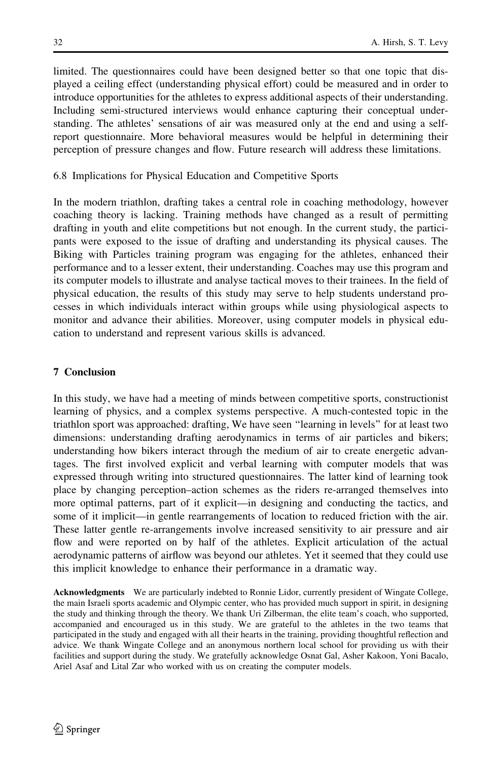limited. The questionnaires could have been designed better so that one topic that displayed a ceiling effect (understanding physical effort) could be measured and in order to introduce opportunities for the athletes to express additional aspects of their understanding. Including semi-structured interviews would enhance capturing their conceptual understanding. The athletes' sensations of air was measured only at the end and using a selfreport questionnaire. More behavioral measures would be helpful in determining their perception of pressure changes and flow. Future research will address these limitations.

6.8 Implications for Physical Education and Competitive Sports

In the modern triathlon, drafting takes a central role in coaching methodology, however coaching theory is lacking. Training methods have changed as a result of permitting drafting in youth and elite competitions but not enough. In the current study, the participants were exposed to the issue of drafting and understanding its physical causes. The Biking with Particles training program was engaging for the athletes, enhanced their performance and to a lesser extent, their understanding. Coaches may use this program and its computer models to illustrate and analyse tactical moves to their trainees. In the field of physical education, the results of this study may serve to help students understand processes in which individuals interact within groups while using physiological aspects to monitor and advance their abilities. Moreover, using computer models in physical education to understand and represent various skills is advanced.

# 7 Conclusion

In this study, we have had a meeting of minds between competitive sports, constructionist learning of physics, and a complex systems perspective. A much-contested topic in the triathlon sport was approached: drafting, We have seen ''learning in levels'' for at least two dimensions: understanding drafting aerodynamics in terms of air particles and bikers; understanding how bikers interact through the medium of air to create energetic advantages. The first involved explicit and verbal learning with computer models that was expressed through writing into structured questionnaires. The latter kind of learning took place by changing perception–action schemes as the riders re-arranged themselves into more optimal patterns, part of it explicit—in designing and conducting the tactics, and some of it implicit—in gentle rearrangements of location to reduced friction with the air. These latter gentle re-arrangements involve increased sensitivity to air pressure and air flow and were reported on by half of the athletes. Explicit articulation of the actual aerodynamic patterns of airflow was beyond our athletes. Yet it seemed that they could use this implicit knowledge to enhance their performance in a dramatic way.

Acknowledgments We are particularly indebted to Ronnie Lidor, currently president of Wingate College, the main Israeli sports academic and Olympic center, who has provided much support in spirit, in designing the study and thinking through the theory. We thank Uri Zilberman, the elite team's coach, who supported, accompanied and encouraged us in this study. We are grateful to the athletes in the two teams that participated in the study and engaged with all their hearts in the training, providing thoughtful reflection and advice. We thank Wingate College and an anonymous northern local school for providing us with their facilities and support during the study. We gratefully acknowledge Osnat Gal, Asher Kakoon, Yoni Bacalo, Ariel Asaf and Lital Zar who worked with us on creating the computer models.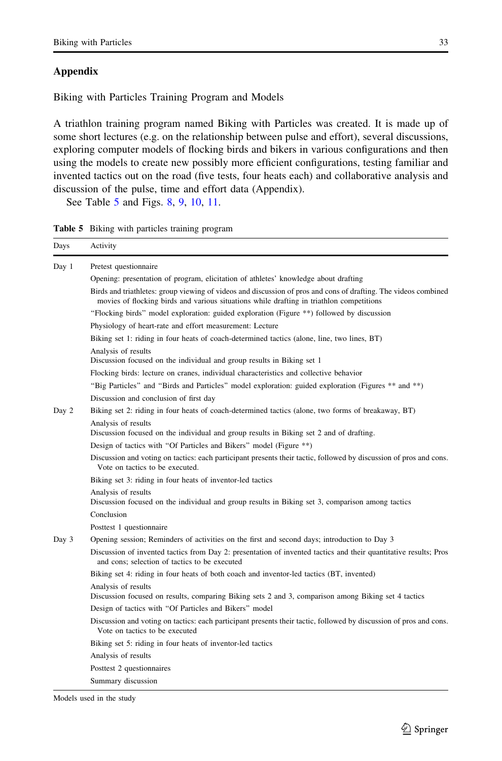## <span id="page-24-0"></span>Appendix

Biking with Particles Training Program and Models

A triathlon training program named Biking with Particles was created. It is made up of some short lectures (e.g. on the relationship between pulse and effort), several discussions, exploring computer models of flocking birds and bikers in various configurations and then using the models to create new possibly more efficient configurations, testing familiar and invented tactics out on the road (five tests, four heats each) and collaborative analysis and discussion of the pulse, time and effort data (Appendix).

See Table 5 and Figs. [8,](#page-25-0) [9](#page-25-0), [10](#page-26-0), [11](#page-26-0).

|  |  |  |  |  | <b>Table 5</b> Biking with particles training program |
|--|--|--|--|--|-------------------------------------------------------|
|--|--|--|--|--|-------------------------------------------------------|

| Days  | Activity                                                                                                                                                                                                    |  |  |  |  |  |
|-------|-------------------------------------------------------------------------------------------------------------------------------------------------------------------------------------------------------------|--|--|--|--|--|
| Day 1 | Pretest questionnaire                                                                                                                                                                                       |  |  |  |  |  |
|       | Opening: presentation of program, elicitation of athletes' knowledge about drafting                                                                                                                         |  |  |  |  |  |
|       | Birds and triathletes: group viewing of videos and discussion of pros and cons of drafting. The videos combined<br>movies of flocking birds and various situations while drafting in triathlon competitions |  |  |  |  |  |
|       | "Flocking birds" model exploration: guided exploration (Figure **) followed by discussion                                                                                                                   |  |  |  |  |  |
|       | Physiology of heart-rate and effort measurement: Lecture                                                                                                                                                    |  |  |  |  |  |
|       | Biking set 1: riding in four heats of coach-determined tactics (alone, line, two lines, BT)                                                                                                                 |  |  |  |  |  |
|       | Analysis of results<br>Discussion focused on the individual and group results in Biking set 1                                                                                                               |  |  |  |  |  |
|       | Flocking birds: lecture on cranes, individual characteristics and collective behavior                                                                                                                       |  |  |  |  |  |
|       | "Big Particles" and "Birds and Particles" model exploration: guided exploration (Figures ** and **)                                                                                                         |  |  |  |  |  |
|       | Discussion and conclusion of first day                                                                                                                                                                      |  |  |  |  |  |
| Day 2 | Biking set 2: riding in four heats of coach-determined tactics (alone, two forms of breakaway, BT)                                                                                                          |  |  |  |  |  |
|       | Analysis of results<br>Discussion focused on the individual and group results in Biking set 2 and of drafting.                                                                                              |  |  |  |  |  |
|       | Design of tactics with "Of Particles and Bikers" model (Figure **)                                                                                                                                          |  |  |  |  |  |
|       | Discussion and voting on tactics: each participant presents their tactic, followed by discussion of pros and cons.<br>Vote on tactics to be executed.                                                       |  |  |  |  |  |
|       | Biking set 3: riding in four heats of inventor-led tactics                                                                                                                                                  |  |  |  |  |  |
|       | Analysis of results<br>Discussion focused on the individual and group results in Biking set 3, comparison among tactics                                                                                     |  |  |  |  |  |
|       | Conclusion                                                                                                                                                                                                  |  |  |  |  |  |
|       | Posttest 1 questionnaire                                                                                                                                                                                    |  |  |  |  |  |
| Day 3 | Opening session; Reminders of activities on the first and second days; introduction to Day 3                                                                                                                |  |  |  |  |  |
|       | Discussion of invented tactics from Day 2: presentation of invented tactics and their quantitative results; Pros<br>and cons; selection of tactics to be executed                                           |  |  |  |  |  |
|       | Biking set 4: riding in four heats of both coach and inventor-led tactics (BT, invented)                                                                                                                    |  |  |  |  |  |
|       | Analysis of results<br>Discussion focused on results, comparing Biking sets 2 and 3, comparison among Biking set 4 tactics                                                                                  |  |  |  |  |  |
|       | Design of tactics with "Of Particles and Bikers" model                                                                                                                                                      |  |  |  |  |  |
|       | Discussion and voting on tactics: each participant presents their tactic, followed by discussion of pros and cons.<br>Vote on tactics to be executed                                                        |  |  |  |  |  |
|       | Biking set 5: riding in four heats of inventor-led tactics                                                                                                                                                  |  |  |  |  |  |
|       | Analysis of results                                                                                                                                                                                         |  |  |  |  |  |
|       | Posttest 2 questionnaires                                                                                                                                                                                   |  |  |  |  |  |
|       | Summary discussion                                                                                                                                                                                          |  |  |  |  |  |
|       |                                                                                                                                                                                                             |  |  |  |  |  |

Models used in the study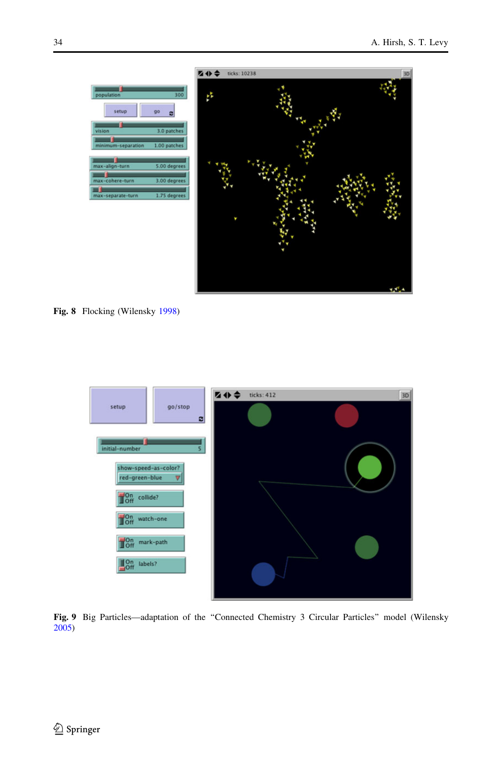<span id="page-25-0"></span>

Fig. 8 Flocking (Wilensky [1998\)](#page-27-0)



Fig. 9 Big Particles—adaptation of the "Connected Chemistry 3 Circular Particles" model (Wilensky [2005\)](#page-27-0)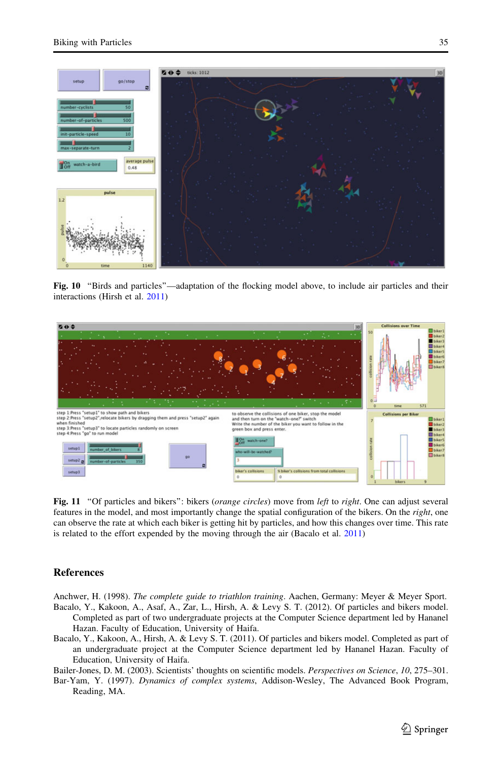<span id="page-26-0"></span>

Fig. 10 ''Birds and particles''—adaptation of the flocking model above, to include air particles and their interactions (Hirsh et al. [2011](#page-27-0))



Fig. 11 "Of particles and bikers": bikers (*orange circles*) move from *left* to *right*. One can adjust several features in the model, and most importantly change the spatial configuration of the bikers. On the right, one can observe the rate at which each biker is getting hit by particles, and how this changes over time. This rate is related to the effort expended by the moving through the air (Bacalo et al. 2011)

## **References**

Anchwer, H. (1998). The complete guide to triathlon training. Aachen, Germany: Meyer & Meyer Sport.

- Bacalo, Y., Kakoon, A., Asaf, A., Zar, L., Hirsh, A. & Levy S. T. (2012). Of particles and bikers model. Completed as part of two undergraduate projects at the Computer Science department led by Hananel Hazan. Faculty of Education, University of Haifa.
- Bacalo, Y., Kakoon, A., Hirsh, A. & Levy S. T. (2011). Of particles and bikers model. Completed as part of an undergraduate project at the Computer Science department led by Hananel Hazan. Faculty of Education, University of Haifa.

Bailer-Jones, D. M. (2003). Scientists' thoughts on scientific models. Perspectives on Science, 10, 275–301.

Bar-Yam, Y. (1997). Dynamics of complex systems, Addison-Wesley, The Advanced Book Program, Reading, MA.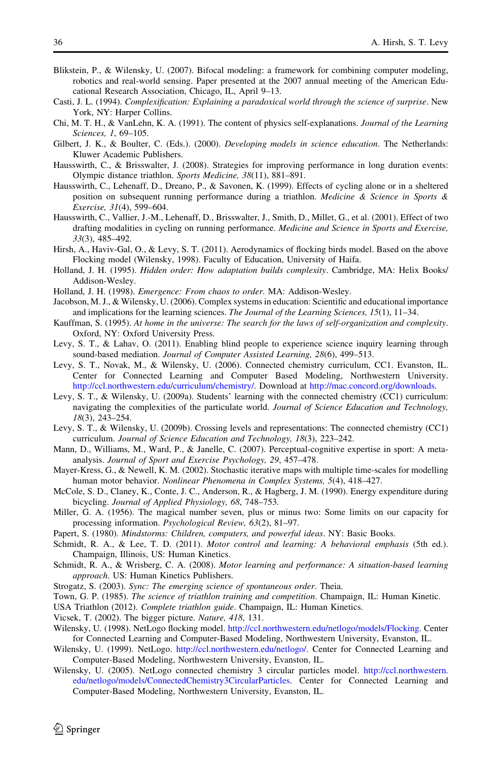- <span id="page-27-0"></span>Blikstein, P., & Wilensky, U. (2007). Bifocal modeling: a framework for combining computer modeling, robotics and real-world sensing. Paper presented at the 2007 annual meeting of the American Educational Research Association, Chicago, IL, April 9–13.
- Casti, J. L. (1994). Complexification: Explaining a paradoxical world through the science of surprise. New York, NY: Harper Collins.
- Chi, M. T. H., & VanLehn, K. A. (1991). The content of physics self-explanations. Journal of the Learning Sciences, 1, 69–105.
- Gilbert, J. K., & Boulter, C. (Eds.). (2000). *Developing models in science education*. The Netherlands: Kluwer Academic Publishers.
- Hausswirth, C., & Brisswalter, J. (2008). Strategies for improving performance in long duration events: Olympic distance triathlon. Sports Medicine, 38(11), 881–891.
- Hausswirth, C., Lehenaff, D., Dreano, P., & Savonen, K. (1999). Effects of cycling alone or in a sheltered position on subsequent running performance during a triathlon. Medicine & Science in Sports & Exercise, 31(4), 599–604.
- Hausswirth, C., Vallier, J.-M., Lehenaff, D., Brisswalter, J., Smith, D., Millet, G., et al. (2001). Effect of two drafting modalities in cycling on running performance. *Medicine and Science in Sports and Exercise*, 33(3), 485–492.
- Hirsh, A., Haviv-Gal, O., & Levy, S. T. (2011). Aerodynamics of flocking birds model. Based on the above Flocking model (Wilensky, 1998). Faculty of Education, University of Haifa.
- Holland, J. H. (1995). *Hidden order: How adaptation builds complexity*. Cambridge, MA: Helix Books/ Addison-Wesley.
- Holland, J. H. (1998). Emergence: From chaos to order. MA: Addison-Wesley.
- Jacobson, M. J., & Wilensky, U. (2006). Complex systems in education: Scientific and educational importance and implications for the learning sciences. The Journal of the Learning Sciences, 15(1), 11–34.
- Kauffman, S. (1995). At home in the universe: The search for the laws of self-organization and complexity. Oxford, NY: Oxford University Press.
- Levy, S. T., & Lahav, O. (2011). Enabling blind people to experience science inquiry learning through sound-based mediation. Journal of Computer Assisted Learning, 28(6), 499–513.
- Levy, S. T., Novak, M., & Wilensky, U. (2006). Connected chemistry curriculum, CC1. Evanston, IL. Center for Connected Learning and Computer Based Modeling, Northwestern University. [http://ccl.northwestern.edu/curriculum/chemistry/](https://ssl.haifa.ac.il/curriculum/chemistry/,DanaInfo=ccl.northwestern.edu+). Download at [http://mac.concord.org/downloads.](https://ssl.haifa.ac.il/,DanaInfo=mac.concord.org+downloads)
- Levy, S. T., & Wilensky, U. (2009a). Students' learning with the connected chemistry (CC1) curriculum: navigating the complexities of the particulate world. Journal of Science Education and Technology, 18(3), 243–254.
- Levy, S. T., & Wilensky, U. (2009b). Crossing levels and representations: The connected chemistry (CC1) curriculum. Journal of Science Education and Technology, 18(3), 223–242.
- Mann, D., Williams, M., Ward, P., & Janelle, C. (2007). Perceptual-cognitive expertise in sport: A metaanalysis. Journal of Sport and Exercise Psychology, 29, 457–478.
- Mayer-Kress, G., & Newell, K. M. (2002). Stochastic iterative maps with multiple time-scales for modelling human motor behavior. Nonlinear Phenomena in Complex Systems, 5(4), 418–427.
- McCole, S. D., Claney, K., Conte, J. C., Anderson, R., & Hagberg, J. M. (1990). Energy expenditure during bicycling. Journal of Applied Physiology, 68, 748–753.
- Miller, G. A. (1956). The magical number seven, plus or minus two: Some limits on our capacity for processing information. Psychological Review, 63(2), 81–97.
- Papert, S. (1980). Mindstorms: Children, computers, and powerful ideas. NY: Basic Books.
- Schmidt, R. A., & Lee, T. D. (2011). Motor control and learning: A behavioral emphasis (5th ed.). Champaign, Illinois, US: Human Kinetics.
- Schmidt, R. A., & Wrisberg, C. A. (2008). Motor learning and performance: A situation-based learning approach. US: Human Kinetics Publishers.
- Strogatz, S. (2003). Sync: The emerging science of spontaneous order. Theia.
- Town, G. P. (1985). The science of triathlon training and competition. Champaign, IL: Human Kinetic.
- USA Triathlon (2012). Complete triathlon guide. Champaign, IL: Human Kinetics.
- Vicsek, T. (2002). The bigger picture. Nature, 418, 131.
- Wilensky, U. (1998). NetLogo flocking model. [http://ccl.northwestern.edu/netlogo/models/Flocking](https://ssl.haifa.ac.il/netlogo/models/,DanaInfo=ccl.northwestern.edu+Flocking). Center for Connected Learning and Computer-Based Modeling, Northwestern University, Evanston, IL.
- Wilensky, U. (1999). NetLogo. [http://ccl.northwestern.edu/netlogo/](https://ssl.haifa.ac.il/netlogo/,DanaInfo=ccl.northwestern.edu+). Center for Connected Learning and Computer-Based Modeling, Northwestern University, Evanston, IL.
- Wilensky, U. (2005). NetLogo connected chemistry 3 circular particles model. [http://ccl.northwestern.](https://ssl.haifa.ac.il/netlogo/models/,DanaInfo=ccl.northwestern.edu+ConnectedChemistry3CircularParticles) [edu/netlogo/models/ConnectedChemistry3CircularParticles.](https://ssl.haifa.ac.il/netlogo/models/,DanaInfo=ccl.northwestern.edu+ConnectedChemistry3CircularParticles) Center for Connected Learning and Computer-Based Modeling, Northwestern University, Evanston, IL.